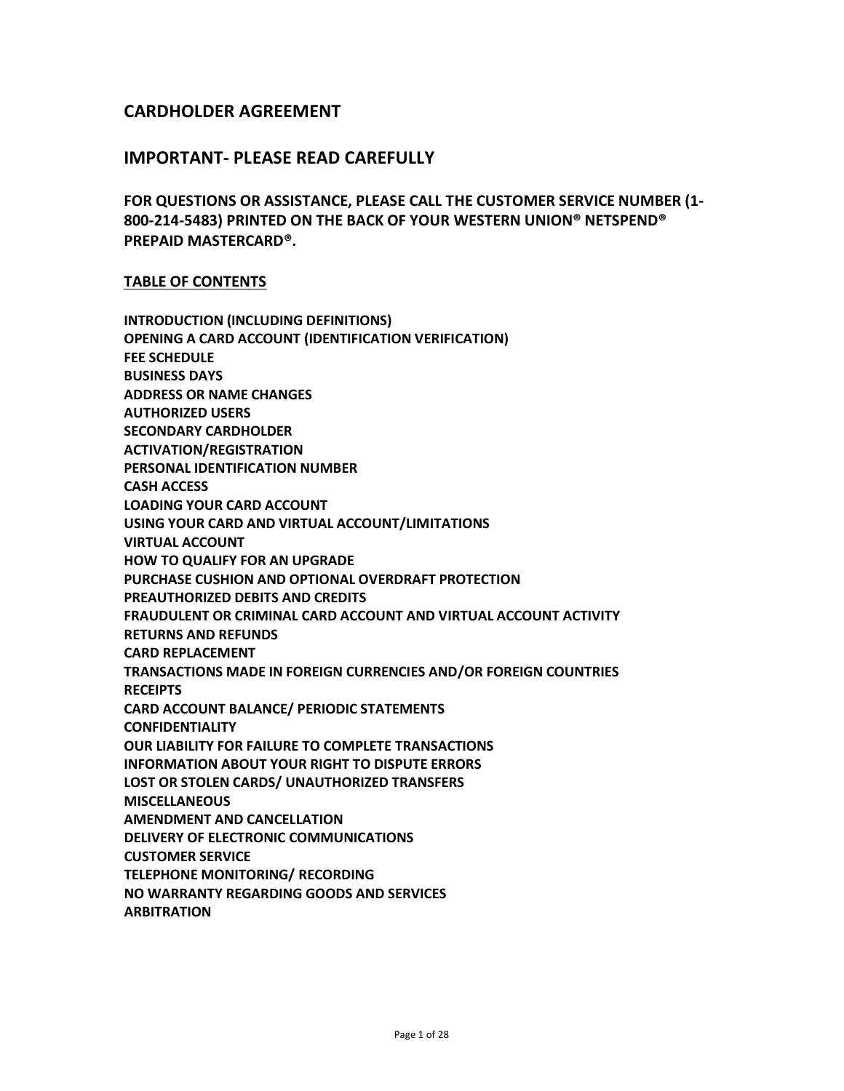# **CARDHOLDER AGREEMENT**

## **IMPORTANT- PLEASE READ CAREFULLY**

**FOR QUESTIONS OR ASSISTANCE, PLEASE CALL THE CUSTOMER SERVICE NUMBER (1- 800-214-5483) PRINTED ON THE BACK OF YOUR WESTERN UNION® NETSPEND® PREPAID MASTERCARD®.** 

#### **TABLE OF CONTENTS**

**INTRODUCTION (INCLUDING DEFINITIONS) OPENING A CARD ACCOUNT (IDENTIFICATION VERIFICATION) FEE SCHEDULE BUSINESS DAYS ADDRESS OR NAME CHANGES AUTHORIZED USERS SECONDARY CARDHOLDER ACTIVATION/REGISTRATION PERSONAL IDENTIFICATION NUMBER CASH ACCESS LOADING YOUR CARD ACCOUNT USING YOUR CARD AND VIRTUAL ACCOUNT/LIMITATIONS VIRTUAL ACCOUNT HOW TO QUALIFY FOR AN UPGRADE PURCHASE CUSHION AND OPTIONAL OVERDRAFT PROTECTION PREAUTHORIZED DEBITS AND CREDITS FRAUDULENT OR CRIMINAL CARD ACCOUNT AND VIRTUAL ACCOUNT ACTIVITY RETURNS AND REFUNDS CARD REPLACEMENT TRANSACTIONS MADE IN FOREIGN CURRENCIES AND/OR FOREIGN COUNTRIES RECEIPTS CARD ACCOUNT BALANCE/ PERIODIC STATEMENTS CONFIDENTIALITY OUR LIABILITY FOR FAILURE TO COMPLETE TRANSACTIONS INFORMATION ABOUT YOUR RIGHT TO DISPUTE ERRORS LOST OR STOLEN CARDS/ UNAUTHORIZED TRANSFERS MISCELLANEOUS AMENDMENT AND CANCELLATION DELIVERY OF ELECTRONIC COMMUNICATIONS CUSTOMER SERVICE TELEPHONE MONITORING/ RECORDING NO WARRANTY REGARDING GOODS AND SERVICES ARBITRATION**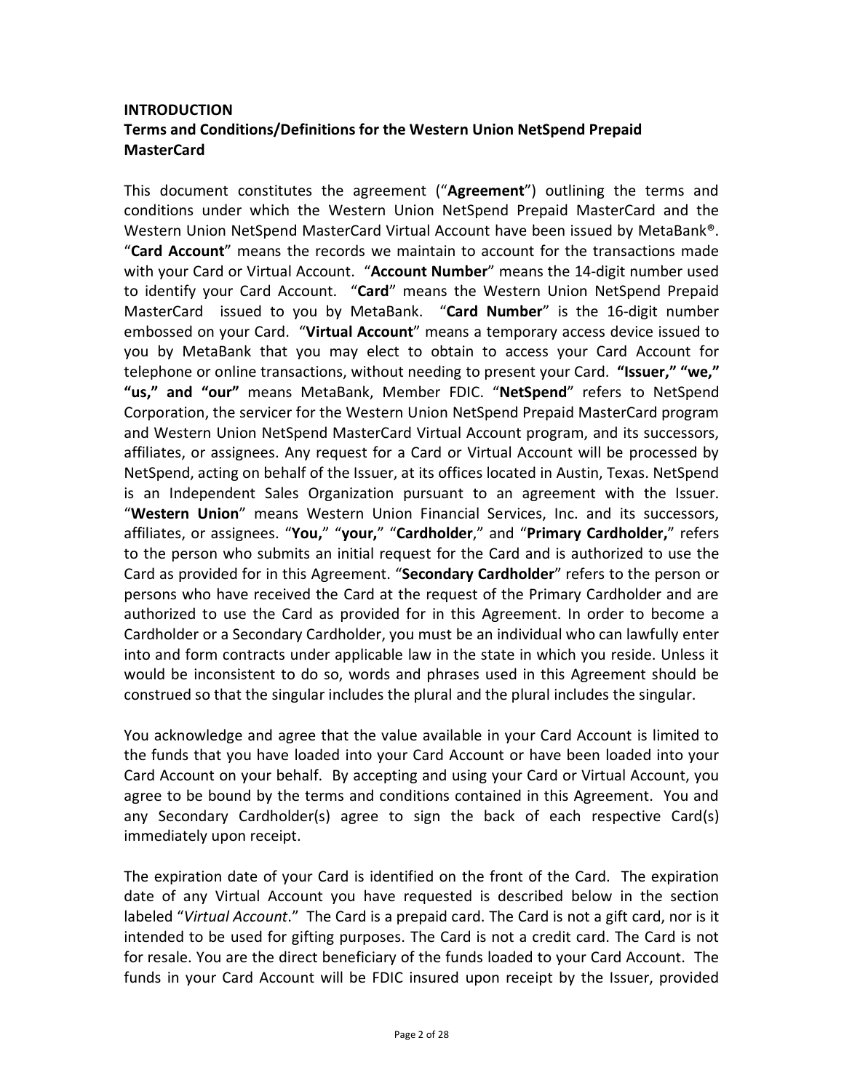# **INTRODUCTION Terms and Conditions/Definitions for the Western Union NetSpend Prepaid MasterCard**

This document constitutes the agreement ("**Agreement**") outlining the terms and conditions under which the Western Union NetSpend Prepaid MasterCard and the Western Union NetSpend MasterCard Virtual Account have been issued by MetaBank®. "**Card Account**" means the records we maintain to account for the transactions made with your Card or Virtual Account. "**Account Number**" means the 14-digit number used to identify your Card Account. "**Card**" means the Western Union NetSpend Prepaid MasterCard issued to you by MetaBank. "**Card Number**" is the 16-digit number embossed on your Card. "**Virtual Account**" means a temporary access device issued to you by MetaBank that you may elect to obtain to access your Card Account for telephone or online transactions, without needing to present your Card. **"Issuer," "we," "us," and "our"** means MetaBank, Member FDIC. "**NetSpend**" refers to NetSpend Corporation, the servicer for the Western Union NetSpend Prepaid MasterCard program and Western Union NetSpend MasterCard Virtual Account program, and its successors, affiliates, or assignees. Any request for a Card or Virtual Account will be processed by NetSpend, acting on behalf of the Issuer, at its offices located in Austin, Texas. NetSpend is an Independent Sales Organization pursuant to an agreement with the Issuer. "**Western Union**" means Western Union Financial Services, Inc. and its successors, affiliates, or assignees. "**You,**" "**your,**" "**Cardholder**," and "**Primary Cardholder,**" refers to the person who submits an initial request for the Card and is authorized to use the Card as provided for in this Agreement. "**Secondary Cardholder**" refers to the person or persons who have received the Card at the request of the Primary Cardholder and are authorized to use the Card as provided for in this Agreement. In order to become a Cardholder or a Secondary Cardholder, you must be an individual who can lawfully enter into and form contracts under applicable law in the state in which you reside. Unless it would be inconsistent to do so, words and phrases used in this Agreement should be construed so that the singular includes the plural and the plural includes the singular.

You acknowledge and agree that the value available in your Card Account is limited to the funds that you have loaded into your Card Account or have been loaded into your Card Account on your behalf. By accepting and using your Card or Virtual Account, you agree to be bound by the terms and conditions contained in this Agreement. You and any Secondary Cardholder(s) agree to sign the back of each respective Card(s) immediately upon receipt.

The expiration date of your Card is identified on the front of the Card. The expiration date of any Virtual Account you have requested is described below in the section labeled "*Virtual Account*." The Card is a prepaid card. The Card is not a gift card, nor is it intended to be used for gifting purposes. The Card is not a credit card. The Card is not for resale. You are the direct beneficiary of the funds loaded to your Card Account. The funds in your Card Account will be FDIC insured upon receipt by the Issuer, provided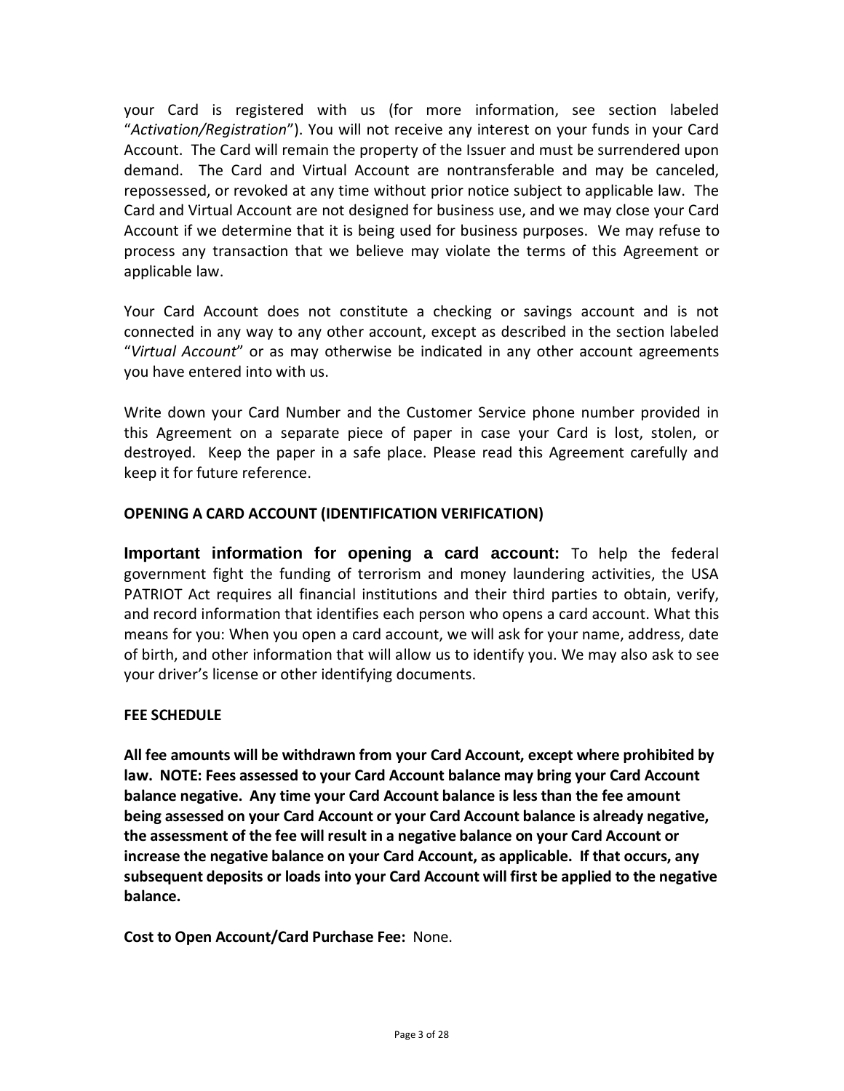your Card is registered with us (for more information, see section labeled "*Activation/Registration*"). You will not receive any interest on your funds in your Card Account. The Card will remain the property of the Issuer and must be surrendered upon demand. The Card and Virtual Account are nontransferable and may be canceled, repossessed, or revoked at any time without prior notice subject to applicable law. The Card and Virtual Account are not designed for business use, and we may close your Card Account if we determine that it is being used for business purposes. We may refuse to process any transaction that we believe may violate the terms of this Agreement or applicable law.

Your Card Account does not constitute a checking or savings account and is not connected in any way to any other account, except as described in the section labeled "*Virtual Account*" or as may otherwise be indicated in any other account agreements you have entered into with us.

Write down your Card Number and the Customer Service phone number provided in this Agreement on a separate piece of paper in case your Card is lost, stolen, or destroyed. Keep the paper in a safe place. Please read this Agreement carefully and keep it for future reference.

## **OPENING A CARD ACCOUNT (IDENTIFICATION VERIFICATION)**

**Important information for opening a card account:** To help the federal government fight the funding of terrorism and money laundering activities, the USA PATRIOT Act requires all financial institutions and their third parties to obtain, verify, and record information that identifies each person who opens a card account. What this means for you: When you open a card account, we will ask for your name, address, date of birth, and other information that will allow us to identify you. We may also ask to see your driver's license or other identifying documents.

# **FEE SCHEDULE**

**All fee amounts will be withdrawn from your Card Account, except where prohibited by law. NOTE: Fees assessed to your Card Account balance may bring your Card Account balance negative. Any time your Card Account balance is less than the fee amount being assessed on your Card Account or your Card Account balance is already negative, the assessment of the fee will result in a negative balance on your Card Account or increase the negative balance on your Card Account, as applicable. If that occurs, any subsequent deposits or loads into your Card Account will first be applied to the negative balance.**

**Cost to Open Account/Card Purchase Fee:** None.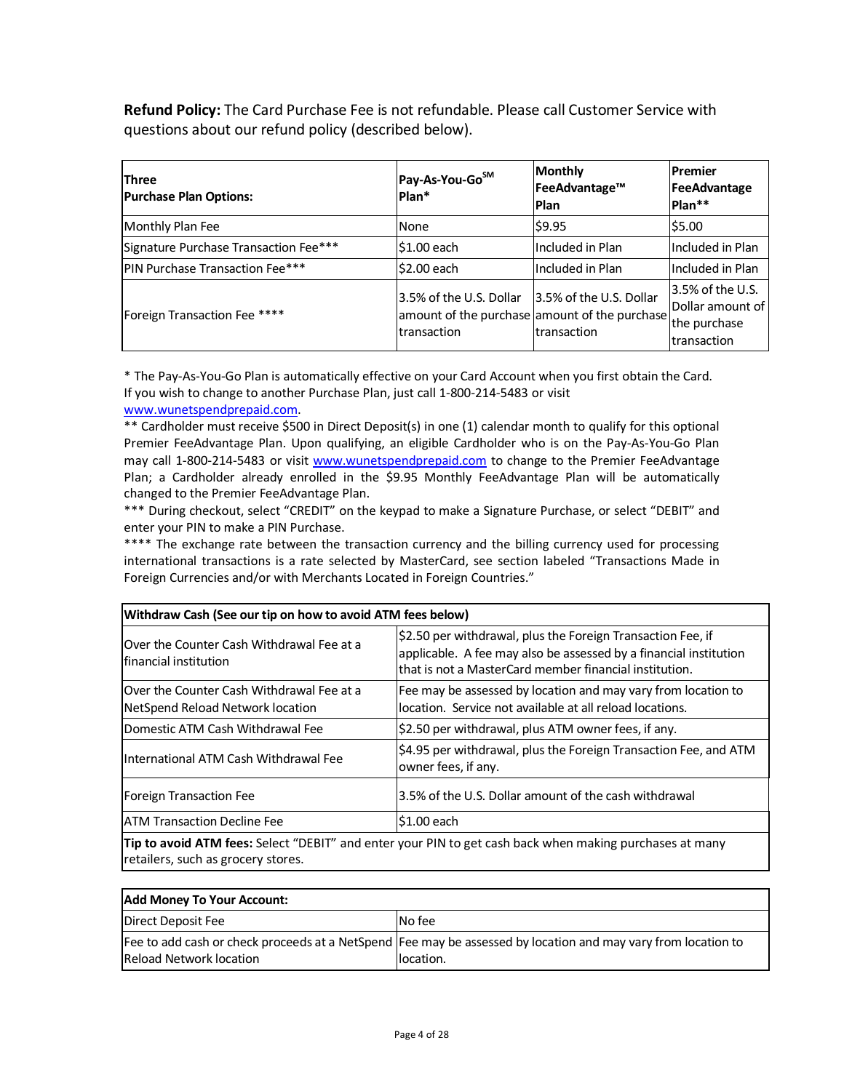**Refund Policy:** The Card Purchase Fee is not refundable. Please call Customer Service with questions about our refund policy (described below).

| <b>Three</b><br><b>Purchase Plan Options:</b> | Pay-As-You-GoSM<br>Plan*               | <b>Monthly</b><br>FeeAdvantage™<br>Plan                                                 | Premier<br>FeeAdvantage<br>Plan**                                       |
|-----------------------------------------------|----------------------------------------|-----------------------------------------------------------------------------------------|-------------------------------------------------------------------------|
| Monthly Plan Fee                              | None                                   | \$9.95                                                                                  | 55.00                                                                   |
| Signature Purchase Transaction Fee***         | \$1.00 each                            | Included in Plan                                                                        | lIncluded in Plan                                                       |
| <b>PIN Purchase Transaction Fee***</b>        | \$2.00 each                            | Included in Plan                                                                        | Included in Plan                                                        |
| Foreign Transaction Fee ****                  | 3.5% of the U.S. Dollar<br>transaction | 3.5% of the U.S. Dollar<br>amount of the purchase amount of the purchase<br>transaction | $ 3.5\%$ of the U.S.<br>Dollar amount of<br>the purchase<br>transaction |

\* The Pay-As-You-Go Plan is automatically effective on your Card Account when you first obtain the Card. If you wish to change to another Purchase Plan, just call 1-800-214-5483 or visit

[www.wunetspendprepaid.com.](http://www.wunetspendprepaid.com/)

\*\* Cardholder must receive \$500 in Direct Deposit(s) in one (1) calendar month to qualify for this optional Premier FeeAdvantage Plan. Upon qualifying, an eligible Cardholder who is on the Pay-As-You-Go Plan may call 1-800-214-5483 or visit [www.wunetspendprepaid.com](http://www.wunetspendprepaid.com/) to change to the Premier FeeAdvantage Plan; a Cardholder already enrolled in the \$9.95 Monthly FeeAdvantage Plan will be automatically changed to the Premier FeeAdvantage Plan.

\*\*\* During checkout, select "CREDIT" on the keypad to make a Signature Purchase, or select "DEBIT" and enter your PIN to make a PIN Purchase.

\*\*\*\* The exchange rate between the transaction currency and the billing currency used for processing international transactions is a rate selected by MasterCard, see section labeled "Transactions Made in Foreign Currencies and/or with Merchants Located in Foreign Countries."

| Withdraw Cash (See our tip on how to avoid ATM fees below)                                              |                                                                                                                                                                                            |  |
|---------------------------------------------------------------------------------------------------------|--------------------------------------------------------------------------------------------------------------------------------------------------------------------------------------------|--|
| Over the Counter Cash Withdrawal Fee at a<br><b>Ifinancial institution</b>                              | \$2.50 per withdrawal, plus the Foreign Transaction Fee, if<br>applicable. A fee may also be assessed by a financial institution<br>that is not a MasterCard member financial institution. |  |
| <b>IOver the Counter Cash Withdrawal Fee at a</b><br>NetSpend Reload Network location                   | Fee may be assessed by location and may vary from location to<br>location. Service not available at all reload locations.                                                                  |  |
| Domestic ATM Cash Withdrawal Fee                                                                        | \$2.50 per withdrawal, plus ATM owner fees, if any.                                                                                                                                        |  |
| International ATM Cash Withdrawal Fee                                                                   | \$4.95 per withdrawal, plus the Foreign Transaction Fee, and ATM<br>owner fees, if any.                                                                                                    |  |
| Foreign Transaction Fee                                                                                 | 3.5% of the U.S. Dollar amount of the cash withdrawal                                                                                                                                      |  |
| <b>JATM Transaction Decline Fee</b>                                                                     | \$1.00 each                                                                                                                                                                                |  |
| Tip to avoid ATM fees: Select "DEBIT" and enter your PIN to get cash back when making purchases at many |                                                                                                                                                                                            |  |

retailers, such as grocery stores.

| <b>Add Money To Your Account:</b> |                                                                                                               |  |
|-----------------------------------|---------------------------------------------------------------------------------------------------------------|--|
| Direct Deposit Fee                | No fee                                                                                                        |  |
|                                   | Fee to add cash or check proceeds at a NetSpend Fee may be assessed by location and may vary from location to |  |
| <b>Reload Network location</b>    | location.                                                                                                     |  |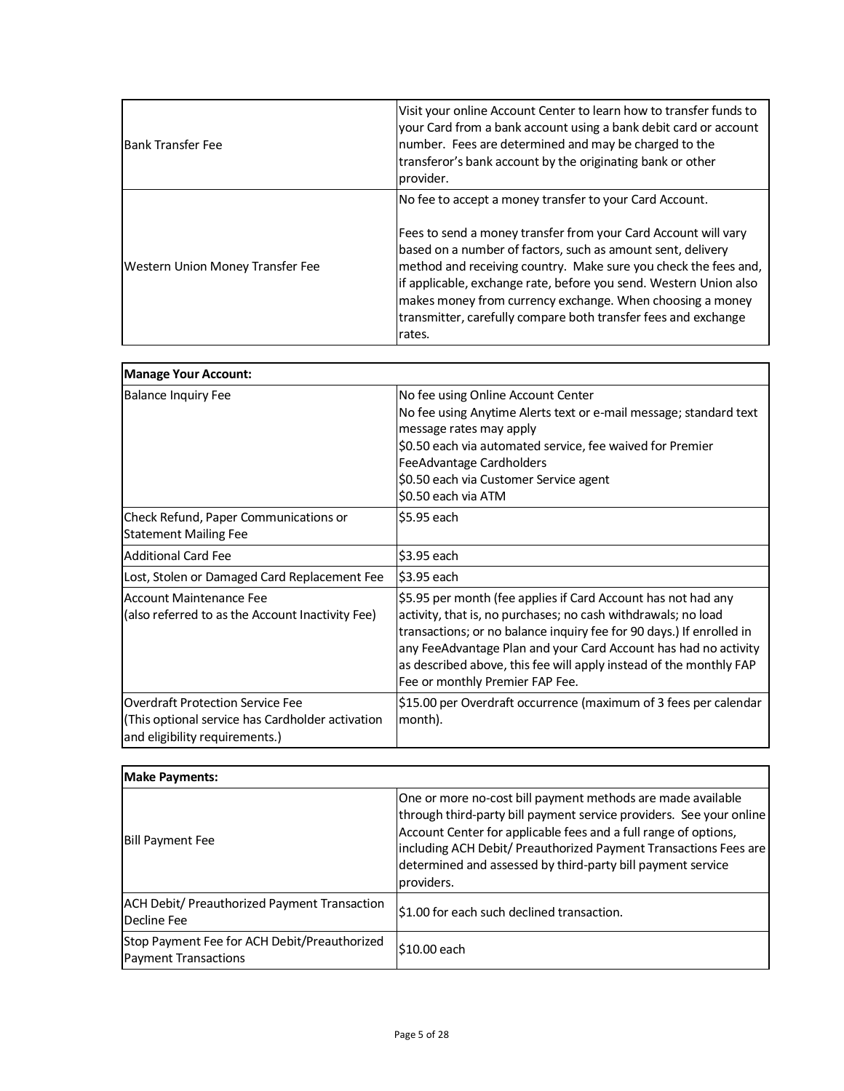| <b>Bank Transfer Fee</b>         | Visit your online Account Center to learn how to transfer funds to<br>your Card from a bank account using a bank debit card or account<br>number. Fees are determined and may be charged to the<br>transferor's bank account by the originating bank or other<br>provider.                                                                                                                                                                                                |
|----------------------------------|---------------------------------------------------------------------------------------------------------------------------------------------------------------------------------------------------------------------------------------------------------------------------------------------------------------------------------------------------------------------------------------------------------------------------------------------------------------------------|
| Western Union Money Transfer Fee | No fee to accept a money transfer to your Card Account.<br>Fees to send a money transfer from your Card Account will vary<br>based on a number of factors, such as amount sent, delivery<br>method and receiving country. Make sure you check the fees and,<br>if applicable, exchange rate, before you send. Western Union also<br>makes money from currency exchange. When choosing a money<br>transmitter, carefully compare both transfer fees and exchange<br>rates. |

| <b>Manage Your Account:</b>                                                                                                   |                                                                                                                                                                                                                                                                                                                                                                                    |
|-------------------------------------------------------------------------------------------------------------------------------|------------------------------------------------------------------------------------------------------------------------------------------------------------------------------------------------------------------------------------------------------------------------------------------------------------------------------------------------------------------------------------|
| <b>Balance Inquiry Fee</b>                                                                                                    | No fee using Online Account Center<br>No fee using Anytime Alerts text or e-mail message; standard text<br>message rates may apply<br>\$0.50 each via automated service, fee waived for Premier<br>FeeAdvantage Cardholders<br>\$0.50 each via Customer Service agent<br>\$0.50 each via ATM                                                                                       |
| Check Refund, Paper Communications or<br><b>Statement Mailing Fee</b>                                                         | \$5.95 each                                                                                                                                                                                                                                                                                                                                                                        |
| <b>Additional Card Fee</b>                                                                                                    | \$3.95 each                                                                                                                                                                                                                                                                                                                                                                        |
| Lost, Stolen or Damaged Card Replacement Fee                                                                                  | \$3.95 each                                                                                                                                                                                                                                                                                                                                                                        |
| <b>Account Maintenance Fee</b><br>(also referred to as the Account Inactivity Fee)                                            | \$5.95 per month (fee applies if Card Account has not had any<br>activity, that is, no purchases; no cash withdrawals; no load<br>transactions; or no balance inquiry fee for 90 days.) If enrolled in<br>any FeeAdvantage Plan and your Card Account has had no activity<br>as described above, this fee will apply instead of the monthly FAP<br>Fee or monthly Premier FAP Fee. |
| <b>Overdraft Protection Service Fee</b><br>(This optional service has Cardholder activation<br>and eligibility requirements.) | \$15.00 per Overdraft occurrence (maximum of 3 fees per calendar<br>month).                                                                                                                                                                                                                                                                                                        |

| <b>Make Payments:</b>                                                       |                                                                                                                                                                                                                                                                                                                                                        |  |
|-----------------------------------------------------------------------------|--------------------------------------------------------------------------------------------------------------------------------------------------------------------------------------------------------------------------------------------------------------------------------------------------------------------------------------------------------|--|
| <b>Bill Payment Fee</b>                                                     | One or more no-cost bill payment methods are made available<br>through third-party bill payment service providers. See your online<br>Account Center for applicable fees and a full range of options,<br>including ACH Debit/ Preauthorized Payment Transactions Fees are<br>determined and assessed by third-party bill payment service<br>providers. |  |
| <b>ACH Debit/ Preauthorized Payment Transaction</b><br>Decline Fee          | \$1.00 for each such declined transaction.                                                                                                                                                                                                                                                                                                             |  |
| Stop Payment Fee for ACH Debit/Preauthorized<br><b>Payment Transactions</b> | \$10.00 each                                                                                                                                                                                                                                                                                                                                           |  |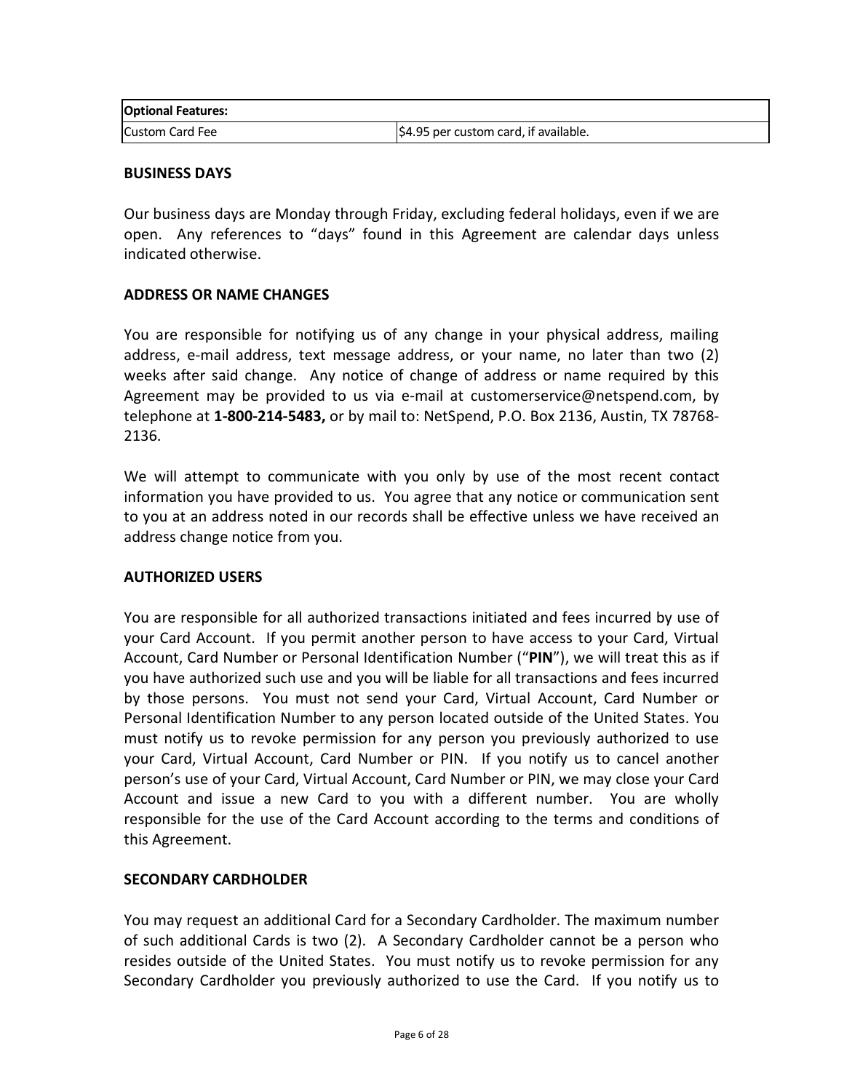| <b>Optional Features:</b> |                                                  |
|---------------------------|--------------------------------------------------|
| Custom Card Fee           | $\frac{1}{2}4.95$ per custom card, if available. |

#### **BUSINESS DAYS**

Our business days are Monday through Friday, excluding federal holidays, even if we are open. Any references to "days" found in this Agreement are calendar days unless indicated otherwise.

### **ADDRESS OR NAME CHANGES**

You are responsible for notifying us of any change in your physical address, mailing address, e-mail address, text message address, or your name, no later than two (2) weeks after said change. Any notice of change of address or name required by this Agreement may be provided to us via e-mail at customerservice@netspend.com, by telephone at **1-800-214-5483,** or by mail to: NetSpend, P.O. Box 2136, Austin, TX 78768- 2136.

We will attempt to communicate with you only by use of the most recent contact information you have provided to us. You agree that any notice or communication sent to you at an address noted in our records shall be effective unless we have received an address change notice from you.

#### **AUTHORIZED USERS**

You are responsible for all authorized transactions initiated and fees incurred by use of your Card Account. If you permit another person to have access to your Card, Virtual Account, Card Number or Personal Identification Number ("**PIN**"), we will treat this as if you have authorized such use and you will be liable for all transactions and fees incurred by those persons. You must not send your Card, Virtual Account, Card Number or Personal Identification Number to any person located outside of the United States. You must notify us to revoke permission for any person you previously authorized to use your Card, Virtual Account, Card Number or PIN. If you notify us to cancel another person's use of your Card, Virtual Account, Card Number or PIN, we may close your Card Account and issue a new Card to you with a different number. You are wholly responsible for the use of the Card Account according to the terms and conditions of this Agreement.

#### **SECONDARY CARDHOLDER**

You may request an additional Card for a Secondary Cardholder. The maximum number of such additional Cards is two (2). A Secondary Cardholder cannot be a person who resides outside of the United States. You must notify us to revoke permission for any Secondary Cardholder you previously authorized to use the Card. If you notify us to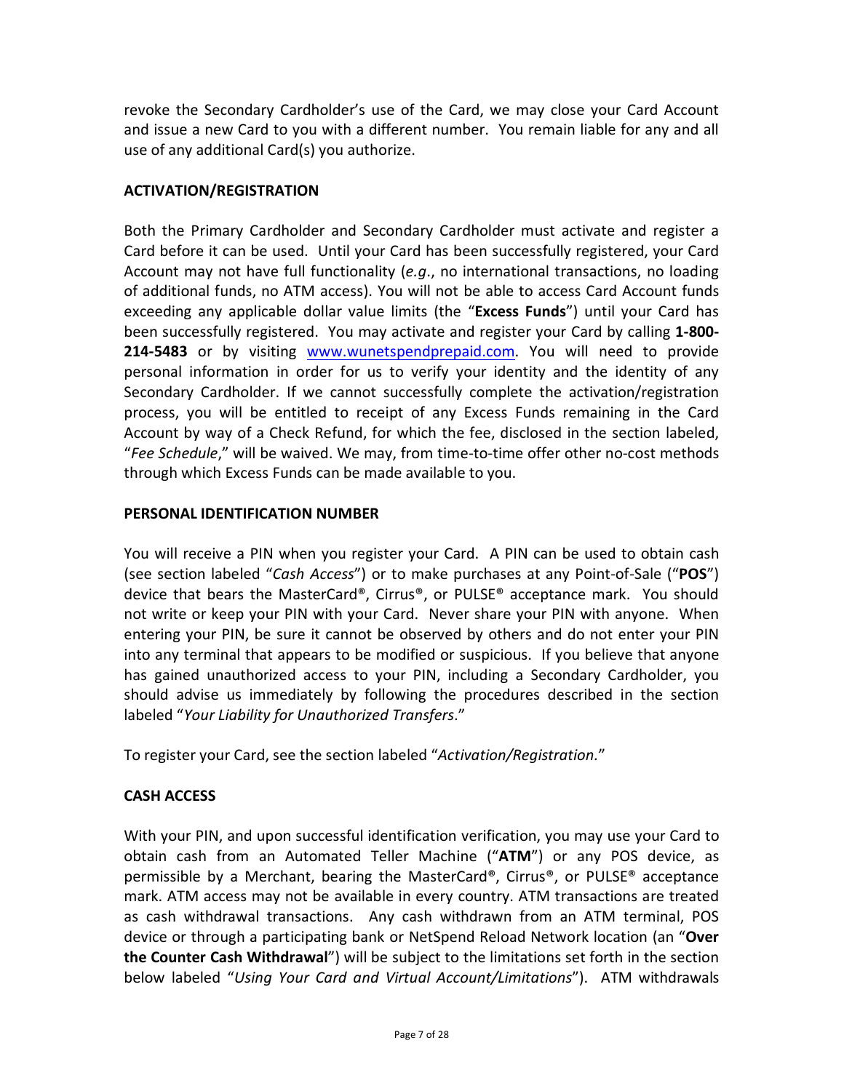revoke the Secondary Cardholder's use of the Card, we may close your Card Account and issue a new Card to you with a different number. You remain liable for any and all use of any additional Card(s) you authorize.

# **ACTIVATION/REGISTRATION**

Both the Primary Cardholder and Secondary Cardholder must activate and register a Card before it can be used. Until your Card has been successfully registered, your Card Account may not have full functionality (*e.g*., no international transactions, no loading of additional funds, no ATM access). You will not be able to access Card Account funds exceeding any applicable dollar value limits (the "**Excess Funds**") until your Card has been successfully registered. You may activate and register your Card by calling **1-800- 214-5483** or by visiting [www.wunetspendprepaid.com.](http://www.wunetspendprepaid.com/) You will need to provide personal information in order for us to verify your identity and the identity of any Secondary Cardholder. If we cannot successfully complete the activation/registration process, you will be entitled to receipt of any Excess Funds remaining in the Card Account by way of a Check Refund, for which the fee, disclosed in the section labeled, "*Fee Schedule*," will be waived. We may, from time-to-time offer other no-cost methods through which Excess Funds can be made available to you.

### **PERSONAL IDENTIFICATION NUMBER**

You will receive a PIN when you register your Card. A PIN can be used to obtain cash (see section labeled "*Cash Access*") or to make purchases at any Point-of-Sale ("**POS**") device that bears the MasterCard®, Cirrus®, or PULSE® acceptance mark. You should not write or keep your PIN with your Card. Never share your PIN with anyone. When entering your PIN, be sure it cannot be observed by others and do not enter your PIN into any terminal that appears to be modified or suspicious. If you believe that anyone has gained unauthorized access to your PIN, including a Secondary Cardholder, you should advise us immediately by following the procedures described in the section labeled "*Your Liability for Unauthorized Transfers*."

To register your Card, see the section labeled "*Activation/Registration.*"

# **CASH ACCESS**

With your PIN, and upon successful identification verification, you may use your Card to obtain cash from an Automated Teller Machine ("**ATM**") or any POS device, as permissible by a Merchant, bearing the MasterCard®, Cirrus®, or PULSE® acceptance mark. ATM access may not be available in every country. ATM transactions are treated as cash withdrawal transactions. Any cash withdrawn from an ATM terminal, POS device or through a participating bank or NetSpend Reload Network location (an "**Over the Counter Cash Withdrawal**") will be subject to the limitations set forth in the section below labeled "*Using Your Card and Virtual Account/Limitations*"). ATM withdrawals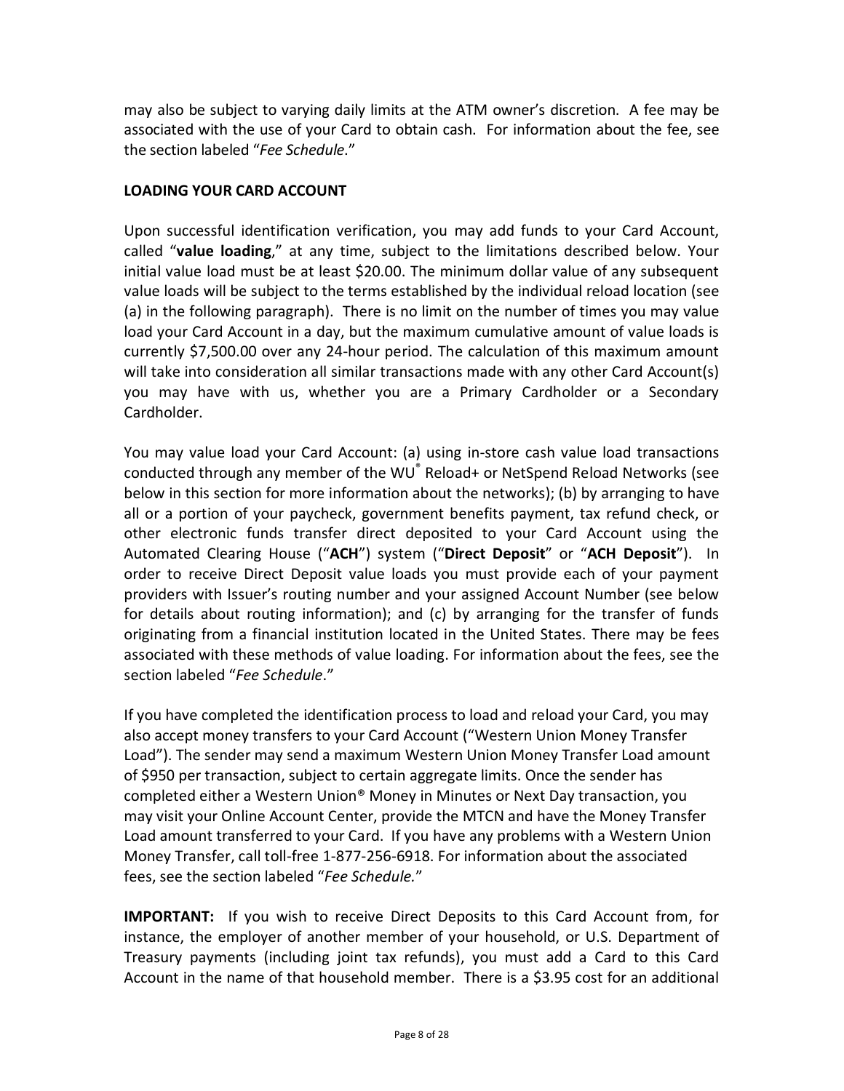may also be subject to varying daily limits at the ATM owner's discretion. A fee may be associated with the use of your Card to obtain cash. For information about the fee, see the section labeled "*Fee Schedule*."

# **LOADING YOUR CARD ACCOUNT**

Upon successful identification verification, you may add funds to your Card Account, called "**value loading**," at any time, subject to the limitations described below. Your initial value load must be at least \$20.00. The minimum dollar value of any subsequent value loads will be subject to the terms established by the individual reload location (see (a) in the following paragraph). There is no limit on the number of times you may value load your Card Account in a day, but the maximum cumulative amount of value loads is currently \$7,500.00 over any 24-hour period. The calculation of this maximum amount will take into consideration all similar transactions made with any other Card Account(s) you may have with us, whether you are a Primary Cardholder or a Secondary Cardholder.

You may value load your Card Account: (a) using in-store cash value load transactions conducted through any member of the WU® Reload+ or NetSpend Reload Networks (see below in this section for more information about the networks); (b) by arranging to have all or a portion of your paycheck, government benefits payment, tax refund check, or other electronic funds transfer direct deposited to your Card Account using the Automated Clearing House ("**ACH**") system ("**Direct Deposit**" or "**ACH Deposit**"). In order to receive Direct Deposit value loads you must provide each of your payment providers with Issuer's routing number and your assigned Account Number (see below for details about routing information); and (c) by arranging for the transfer of funds originating from a financial institution located in the United States. There may be fees associated with these methods of value loading. For information about the fees, see the section labeled "*Fee Schedule*."

If you have completed the identification process to load and reload your Card, you may also accept money transfers to your Card Account ("Western Union Money Transfer Load"). The sender may send a maximum Western Union Money Transfer Load amount of \$950 per transaction, subject to certain aggregate limits. Once the sender has completed either a Western Union® Money in Minutes or Next Day transaction, you may visit your Online Account Center, provide the MTCN and have the Money Transfer Load amount transferred to your Card. If you have any problems with a Western Union Money Transfer, call toll-free 1-877-256-6918. For information about the associated fees, see the section labeled "*Fee Schedule.*"

**IMPORTANT:** If you wish to receive Direct Deposits to this Card Account from, for instance, the employer of another member of your household, or U.S. Department of Treasury payments (including joint tax refunds), you must add a Card to this Card Account in the name of that household member. There is a \$3.95 cost for an additional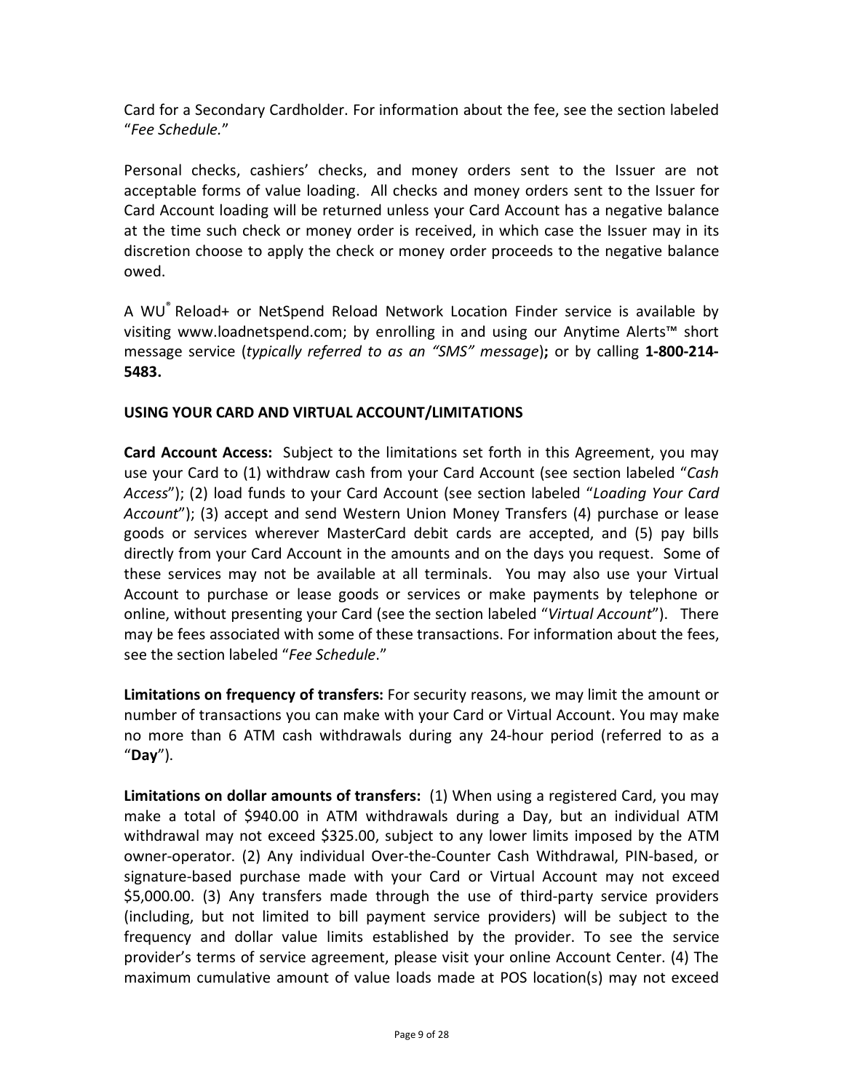Card for a Secondary Cardholder. For information about the fee, see the section labeled "*Fee Schedule.*"

Personal checks, cashiers' checks, and money orders sent to the Issuer are not acceptable forms of value loading. All checks and money orders sent to the Issuer for Card Account loading will be returned unless your Card Account has a negative balance at the time such check or money order is received, in which case the Issuer may in its discretion choose to apply the check or money order proceeds to the negative balance owed.

A WU® Reload+ or NetSpend Reload Network Location Finder service is available by visiting www.loadnetspend.com; by enrolling in and using our Anytime Alerts™ short message service (*typically referred to as an "SMS" message*)**;** or by calling **1-800-214- 5483.**

# **USING YOUR CARD AND VIRTUAL ACCOUNT/LIMITATIONS**

**Card Account Access:** Subject to the limitations set forth in this Agreement, you may use your Card to (1) withdraw cash from your Card Account (see section labeled "*Cash Access*"); (2) load funds to your Card Account (see section labeled "*Loading Your Card Account*"); (3) accept and send Western Union Money Transfers (4) purchase or lease goods or services wherever MasterCard debit cards are accepted, and (5) pay bills directly from your Card Account in the amounts and on the days you request. Some of these services may not be available at all terminals. You may also use your Virtual Account to purchase or lease goods or services or make payments by telephone or online, without presenting your Card (see the section labeled "*Virtual Account*"). There may be fees associated with some of these transactions. For information about the fees, see the section labeled "*Fee Schedule*."

**Limitations on frequency of transfers:** For security reasons, we may limit the amount or number of transactions you can make with your Card or Virtual Account. You may make no more than 6 ATM cash withdrawals during any 24-hour period (referred to as a "**Day**").

**Limitations on dollar amounts of transfers:** (1) When using a registered Card, you may make a total of \$940.00 in ATM withdrawals during a Day, but an individual ATM withdrawal may not exceed \$325.00, subject to any lower limits imposed by the ATM owner-operator. (2) Any individual Over-the-Counter Cash Withdrawal, PIN-based, or signature-based purchase made with your Card or Virtual Account may not exceed \$5,000.00. (3) Any transfers made through the use of third-party service providers (including, but not limited to bill payment service providers) will be subject to the frequency and dollar value limits established by the provider. To see the service provider's terms of service agreement, please visit your online Account Center. (4) The maximum cumulative amount of value loads made at POS location(s) may not exceed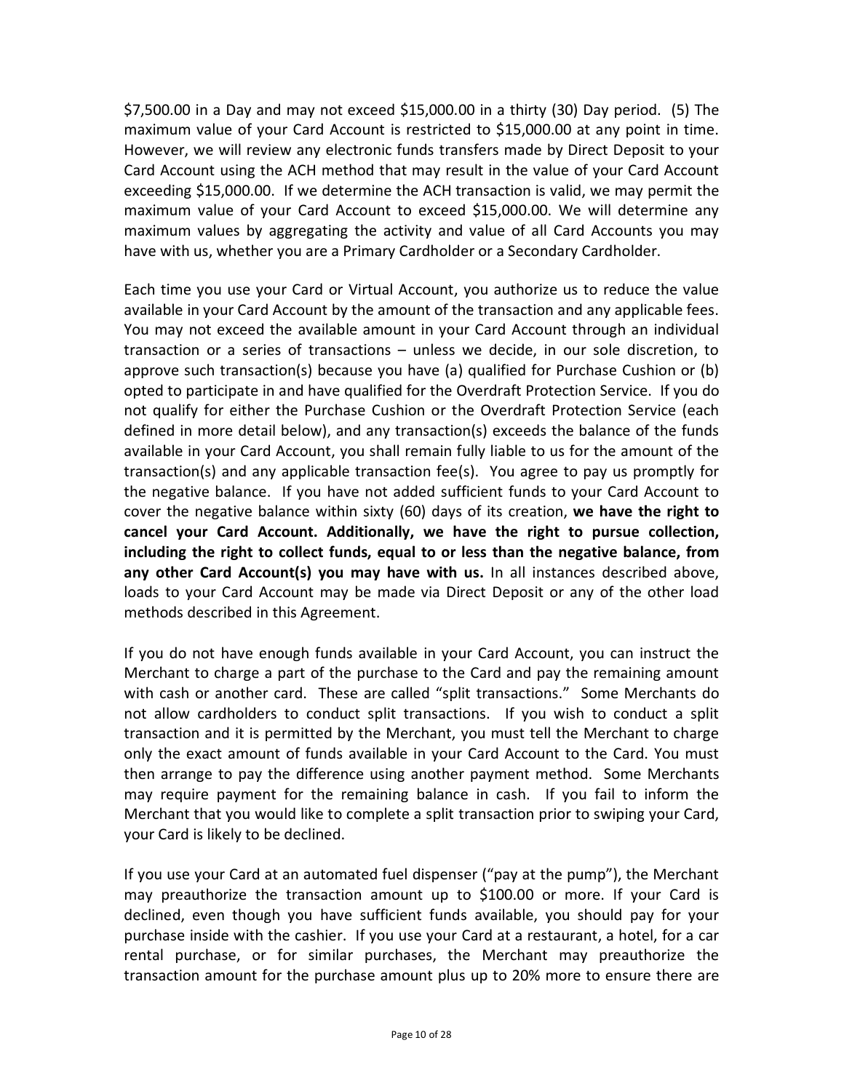\$7,500.00 in a Day and may not exceed \$15,000.00 in a thirty (30) Day period. (5) The maximum value of your Card Account is restricted to \$15,000.00 at any point in time. However, we will review any electronic funds transfers made by Direct Deposit to your Card Account using the ACH method that may result in the value of your Card Account exceeding \$15,000.00. If we determine the ACH transaction is valid, we may permit the maximum value of your Card Account to exceed \$15,000.00. We will determine any maximum values by aggregating the activity and value of all Card Accounts you may have with us, whether you are a Primary Cardholder or a Secondary Cardholder.

Each time you use your Card or Virtual Account, you authorize us to reduce the value available in your Card Account by the amount of the transaction and any applicable fees. You may not exceed the available amount in your Card Account through an individual transaction or a series of transactions – unless we decide, in our sole discretion, to approve such transaction(s) because you have (a) qualified for Purchase Cushion or (b) opted to participate in and have qualified for the Overdraft Protection Service. If you do not qualify for either the Purchase Cushion or the Overdraft Protection Service (each defined in more detail below), and any transaction(s) exceeds the balance of the funds available in your Card Account, you shall remain fully liable to us for the amount of the transaction(s) and any applicable transaction fee(s). You agree to pay us promptly for the negative balance. If you have not added sufficient funds to your Card Account to cover the negative balance within sixty (60) days of its creation, **we have the right to cancel your Card Account. Additionally, we have the right to pursue collection, including the right to collect funds, equal to or less than the negative balance, from any other Card Account(s) you may have with us.** In all instances described above, loads to your Card Account may be made via Direct Deposit or any of the other load methods described in this Agreement.

If you do not have enough funds available in your Card Account, you can instruct the Merchant to charge a part of the purchase to the Card and pay the remaining amount with cash or another card. These are called "split transactions." Some Merchants do not allow cardholders to conduct split transactions. If you wish to conduct a split transaction and it is permitted by the Merchant, you must tell the Merchant to charge only the exact amount of funds available in your Card Account to the Card. You must then arrange to pay the difference using another payment method. Some Merchants may require payment for the remaining balance in cash. If you fail to inform the Merchant that you would like to complete a split transaction prior to swiping your Card, your Card is likely to be declined.

If you use your Card at an automated fuel dispenser ("pay at the pump"), the Merchant may preauthorize the transaction amount up to \$100.00 or more. If your Card is declined, even though you have sufficient funds available, you should pay for your purchase inside with the cashier. If you use your Card at a restaurant, a hotel, for a car rental purchase, or for similar purchases, the Merchant may preauthorize the transaction amount for the purchase amount plus up to 20% more to ensure there are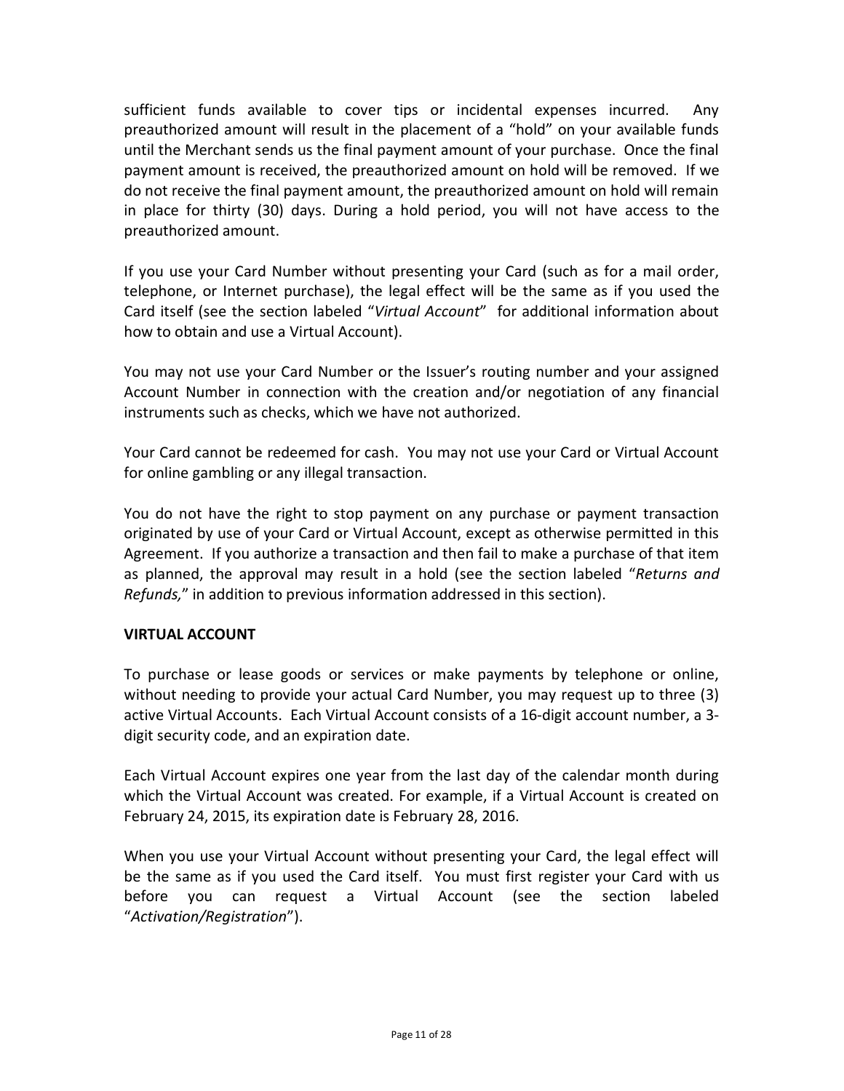sufficient funds available to cover tips or incidental expenses incurred. Any preauthorized amount will result in the placement of a "hold" on your available funds until the Merchant sends us the final payment amount of your purchase. Once the final payment amount is received, the preauthorized amount on hold will be removed. If we do not receive the final payment amount, the preauthorized amount on hold will remain in place for thirty (30) days. During a hold period, you will not have access to the preauthorized amount.

If you use your Card Number without presenting your Card (such as for a mail order, telephone, or Internet purchase), the legal effect will be the same as if you used the Card itself (see the section labeled "*Virtual Account*" for additional information about how to obtain and use a Virtual Account).

You may not use your Card Number or the Issuer's routing number and your assigned Account Number in connection with the creation and/or negotiation of any financial instruments such as checks, which we have not authorized.

Your Card cannot be redeemed for cash. You may not use your Card or Virtual Account for online gambling or any illegal transaction.

You do not have the right to stop payment on any purchase or payment transaction originated by use of your Card or Virtual Account, except as otherwise permitted in this Agreement. If you authorize a transaction and then fail to make a purchase of that item as planned, the approval may result in a hold (see the section labeled "*Returns and Refunds,*" in addition to previous information addressed in this section).

### **VIRTUAL ACCOUNT**

To purchase or lease goods or services or make payments by telephone or online, without needing to provide your actual Card Number, you may request up to three (3) active Virtual Accounts. Each Virtual Account consists of a 16-digit account number, a 3 digit security code, and an expiration date.

Each Virtual Account expires one year from the last day of the calendar month during which the Virtual Account was created. For example, if a Virtual Account is created on February 24, 2015, its expiration date is February 28, 2016.

When you use your Virtual Account without presenting your Card, the legal effect will be the same as if you used the Card itself. You must first register your Card with us before you can request a Virtual Account (see the section labeled "*Activation/Registration*").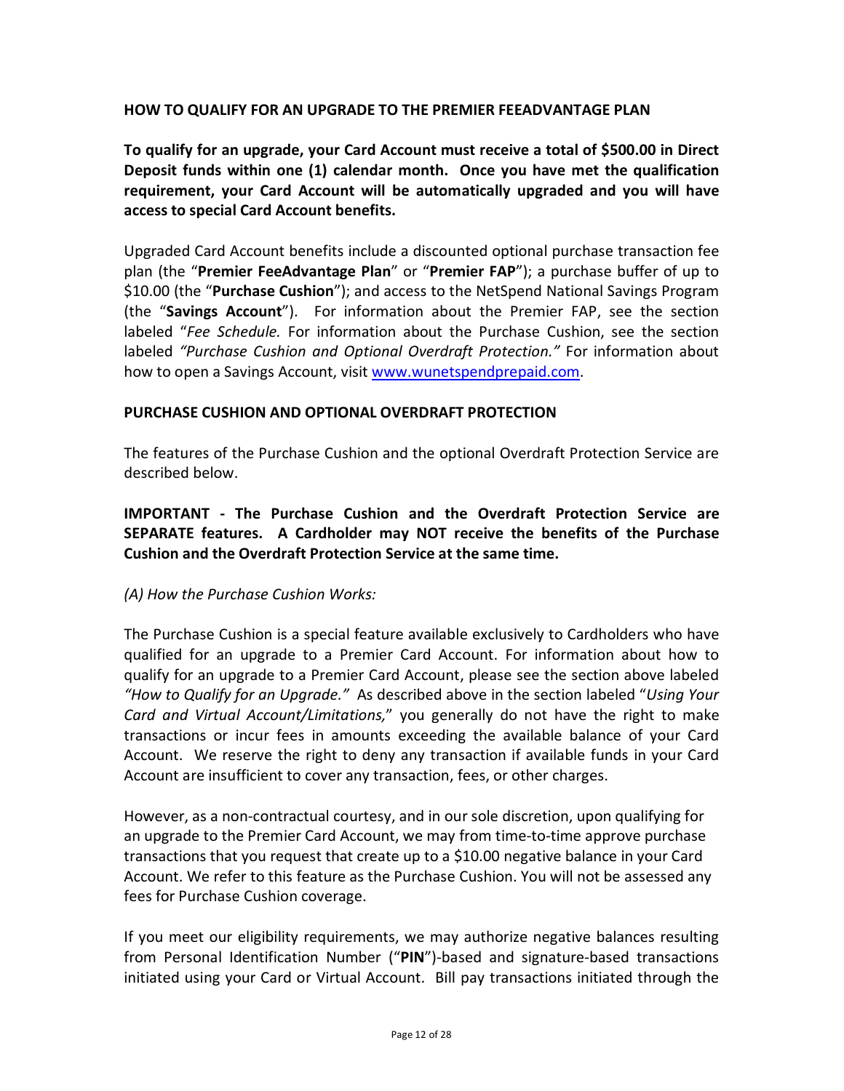### **HOW TO QUALIFY FOR AN UPGRADE TO THE PREMIER FEEADVANTAGE PLAN**

**To qualify for an upgrade, your Card Account must receive a total of \$500.00 in Direct Deposit funds within one (1) calendar month. Once you have met the qualification requirement, your Card Account will be automatically upgraded and you will have access to special Card Account benefits.**

Upgraded Card Account benefits include a discounted optional purchase transaction fee plan (the "**Premier FeeAdvantage Plan**" or "**Premier FAP**"); a purchase buffer of up to \$10.00 (the "**Purchase Cushion**"); and access to the NetSpend National Savings Program (the "**Savings Account**"). For information about the Premier FAP, see the section labeled "*Fee Schedule.* For information about the Purchase Cushion, see the section labeled *"Purchase Cushion and Optional Overdraft Protection."* For information about how to open a Savings Account, visit [www.wunetspendprepaid.com.](http://www.wunetspendprepaid.com/)

### **PURCHASE CUSHION AND OPTIONAL OVERDRAFT PROTECTION**

The features of the Purchase Cushion and the optional Overdraft Protection Service are described below.

**IMPORTANT - The Purchase Cushion and the Overdraft Protection Service are SEPARATE features. A Cardholder may NOT receive the benefits of the Purchase Cushion and the Overdraft Protection Service at the same time.** 

### *(A) How the Purchase Cushion Works:*

The Purchase Cushion is a special feature available exclusively to Cardholders who have qualified for an upgrade to a Premier Card Account. For information about how to qualify for an upgrade to a Premier Card Account, please see the section above labeled *"How to Qualify for an Upgrade."* As described above in the section labeled "*Using Your Card and Virtual Account/Limitations,*" you generally do not have the right to make transactions or incur fees in amounts exceeding the available balance of your Card Account. We reserve the right to deny any transaction if available funds in your Card Account are insufficient to cover any transaction, fees, or other charges.

However, as a non-contractual courtesy, and in our sole discretion, upon qualifying for an upgrade to the Premier Card Account, we may from time-to-time approve purchase transactions that you request that create up to a \$10.00 negative balance in your Card Account. We refer to this feature as the Purchase Cushion. You will not be assessed any fees for Purchase Cushion coverage.

If you meet our eligibility requirements, we may authorize negative balances resulting from Personal Identification Number ("**PIN**")-based and signature-based transactions initiated using your Card or Virtual Account. Bill pay transactions initiated through the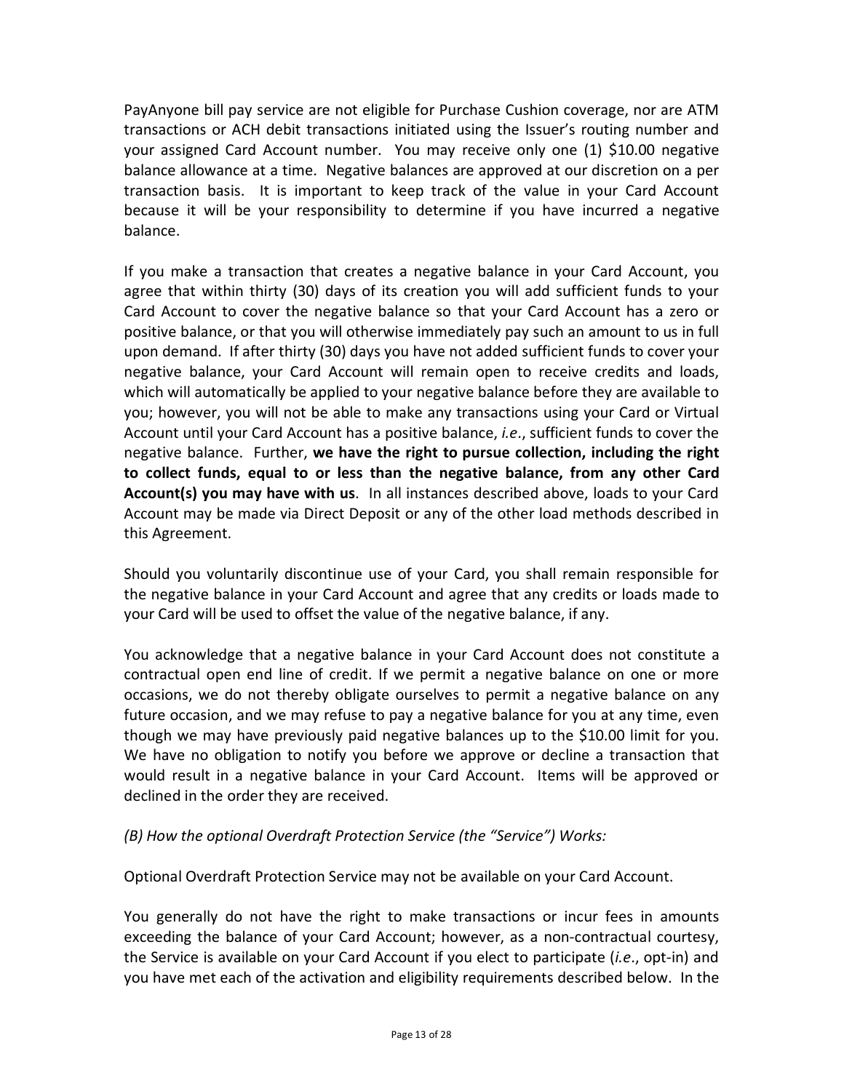PayAnyone bill pay service are not eligible for Purchase Cushion coverage, nor are ATM transactions or ACH debit transactions initiated using the Issuer's routing number and your assigned Card Account number. You may receive only one (1) \$10.00 negative balance allowance at a time. Negative balances are approved at our discretion on a per transaction basis. It is important to keep track of the value in your Card Account because it will be your responsibility to determine if you have incurred a negative balance.

If you make a transaction that creates a negative balance in your Card Account, you agree that within thirty (30) days of its creation you will add sufficient funds to your Card Account to cover the negative balance so that your Card Account has a zero or positive balance, or that you will otherwise immediately pay such an amount to us in full upon demand. If after thirty (30) days you have not added sufficient funds to cover your negative balance, your Card Account will remain open to receive credits and loads, which will automatically be applied to your negative balance before they are available to you; however, you will not be able to make any transactions using your Card or Virtual Account until your Card Account has a positive balance, *i.e*., sufficient funds to cover the negative balance. Further, **we have the right to pursue collection, including the right to collect funds, equal to or less than the negative balance, from any other Card Account(s) you may have with us**. In all instances described above, loads to your Card Account may be made via Direct Deposit or any of the other load methods described in this Agreement.

Should you voluntarily discontinue use of your Card, you shall remain responsible for the negative balance in your Card Account and agree that any credits or loads made to your Card will be used to offset the value of the negative balance, if any.

You acknowledge that a negative balance in your Card Account does not constitute a contractual open end line of credit. If we permit a negative balance on one or more occasions, we do not thereby obligate ourselves to permit a negative balance on any future occasion, and we may refuse to pay a negative balance for you at any time, even though we may have previously paid negative balances up to the \$10.00 limit for you. We have no obligation to notify you before we approve or decline a transaction that would result in a negative balance in your Card Account. Items will be approved or declined in the order they are received.

# *(B) How the optional Overdraft Protection Service (the "Service") Works:*

Optional Overdraft Protection Service may not be available on your Card Account.

You generally do not have the right to make transactions or incur fees in amounts exceeding the balance of your Card Account; however, as a non-contractual courtesy, the Service is available on your Card Account if you elect to participate (*i.e*., opt-in) and you have met each of the activation and eligibility requirements described below. In the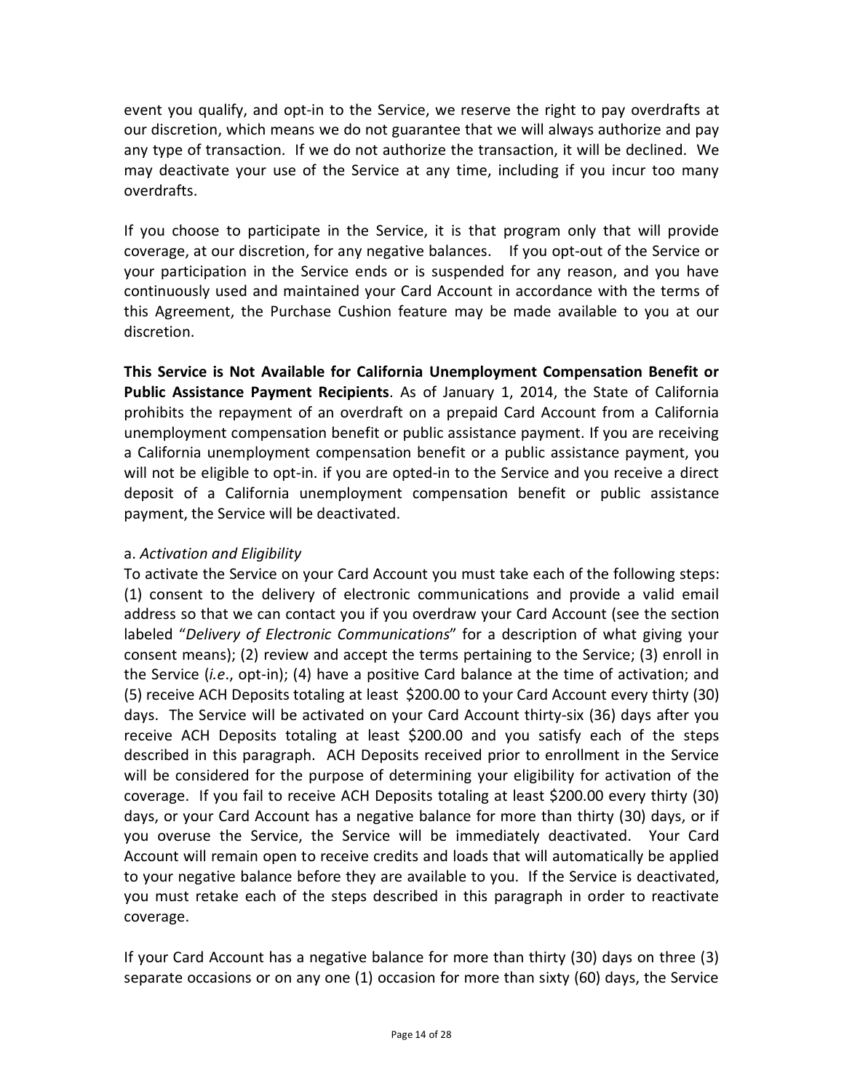event you qualify, and opt-in to the Service, we reserve the right to pay overdrafts at our discretion, which means we do not guarantee that we will always authorize and pay any type of transaction. If we do not authorize the transaction, it will be declined. We may deactivate your use of the Service at any time, including if you incur too many overdrafts.

If you choose to participate in the Service, it is that program only that will provide coverage, at our discretion, for any negative balances. If you opt-out of the Service or your participation in the Service ends or is suspended for any reason, and you have continuously used and maintained your Card Account in accordance with the terms of this Agreement, the Purchase Cushion feature may be made available to you at our discretion.

**This Service is Not Available for California Unemployment Compensation Benefit or Public Assistance Payment Recipients**. As of January 1, 2014, the State of California prohibits the repayment of an overdraft on a prepaid Card Account from a California unemployment compensation benefit or public assistance payment. If you are receiving a California unemployment compensation benefit or a public assistance payment, you will not be eligible to opt-in. if you are opted-in to the Service and you receive a direct deposit of a California unemployment compensation benefit or public assistance payment, the Service will be deactivated.

# a. *Activation and Eligibility*

To activate the Service on your Card Account you must take each of the following steps: (1) consent to the delivery of electronic communications and provide a valid email address so that we can contact you if you overdraw your Card Account (see the section labeled "*Delivery of Electronic Communications*" for a description of what giving your consent means); (2) review and accept the terms pertaining to the Service; (3) enroll in the Service (*i.e*., opt-in); (4) have a positive Card balance at the time of activation; and (5) receive ACH Deposits totaling at least \$200.00 to your Card Account every thirty (30) days. The Service will be activated on your Card Account thirty-six (36) days after you receive ACH Deposits totaling at least \$200.00 and you satisfy each of the steps described in this paragraph. ACH Deposits received prior to enrollment in the Service will be considered for the purpose of determining your eligibility for activation of the coverage. If you fail to receive ACH Deposits totaling at least \$200.00 every thirty (30) days, or your Card Account has a negative balance for more than thirty (30) days, or if you overuse the Service, the Service will be immediately deactivated. Your Card Account will remain open to receive credits and loads that will automatically be applied to your negative balance before they are available to you. If the Service is deactivated, you must retake each of the steps described in this paragraph in order to reactivate coverage.

If your Card Account has a negative balance for more than thirty (30) days on three (3) separate occasions or on any one (1) occasion for more than sixty (60) days, the Service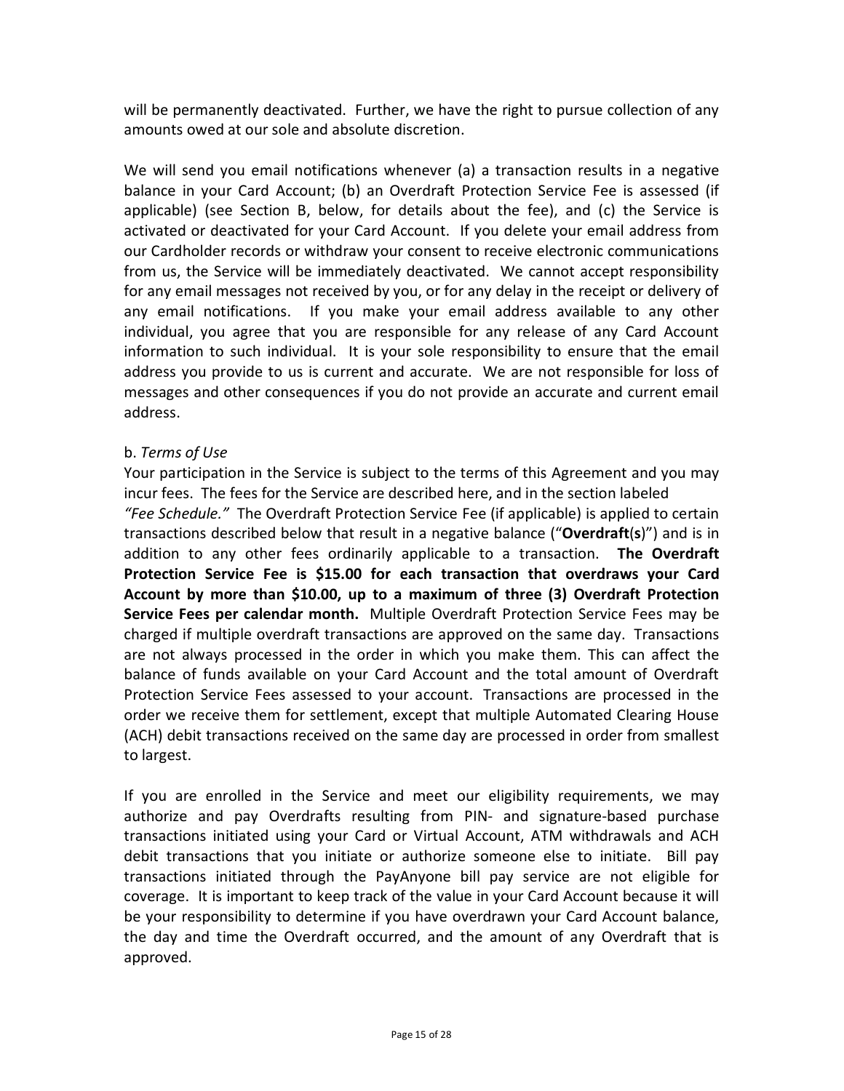will be permanently deactivated. Further, we have the right to pursue collection of any amounts owed at our sole and absolute discretion.

We will send you email notifications whenever (a) a transaction results in a negative balance in your Card Account; (b) an Overdraft Protection Service Fee is assessed (if applicable) (see Section B, below, for details about the fee), and (c) the Service is activated or deactivated for your Card Account. If you delete your email address from our Cardholder records or withdraw your consent to receive electronic communications from us, the Service will be immediately deactivated. We cannot accept responsibility for any email messages not received by you, or for any delay in the receipt or delivery of any email notifications. If you make your email address available to any other individual, you agree that you are responsible for any release of any Card Account information to such individual. It is your sole responsibility to ensure that the email address you provide to us is current and accurate. We are not responsible for loss of messages and other consequences if you do not provide an accurate and current email address.

### b. *Terms of Use*

to largest.

Your participation in the Service is subject to the terms of this Agreement and you may incur fees. The fees for the Service are described here, and in the section labeled *"Fee Schedule."* The Overdraft Protection Service Fee (if applicable) is applied to certain transactions described below that result in a negative balance ("**Overdraft**(**s**)") and is in addition to any other fees ordinarily applicable to a transaction. **The Overdraft Protection Service Fee is \$15.00 for each transaction that overdraws your Card Account by more than \$10.00, up to a maximum of three (3) Overdraft Protection Service Fees per calendar month.** Multiple Overdraft Protection Service Fees may be charged if multiple overdraft transactions are approved on the same day. Transactions are not always processed in the order in which you make them. This can affect the balance of funds available on your Card Account and the total amount of Overdraft Protection Service Fees assessed to your account. Transactions are processed in the order we receive them for settlement, except that multiple Automated Clearing House (ACH) debit transactions received on the same day are processed in order from smallest

If you are enrolled in the Service and meet our eligibility requirements, we may authorize and pay Overdrafts resulting from PIN- and signature-based purchase transactions initiated using your Card or Virtual Account, ATM withdrawals and ACH debit transactions that you initiate or authorize someone else to initiate. Bill pay transactions initiated through the PayAnyone bill pay service are not eligible for coverage. It is important to keep track of the value in your Card Account because it will be your responsibility to determine if you have overdrawn your Card Account balance, the day and time the Overdraft occurred, and the amount of any Overdraft that is approved.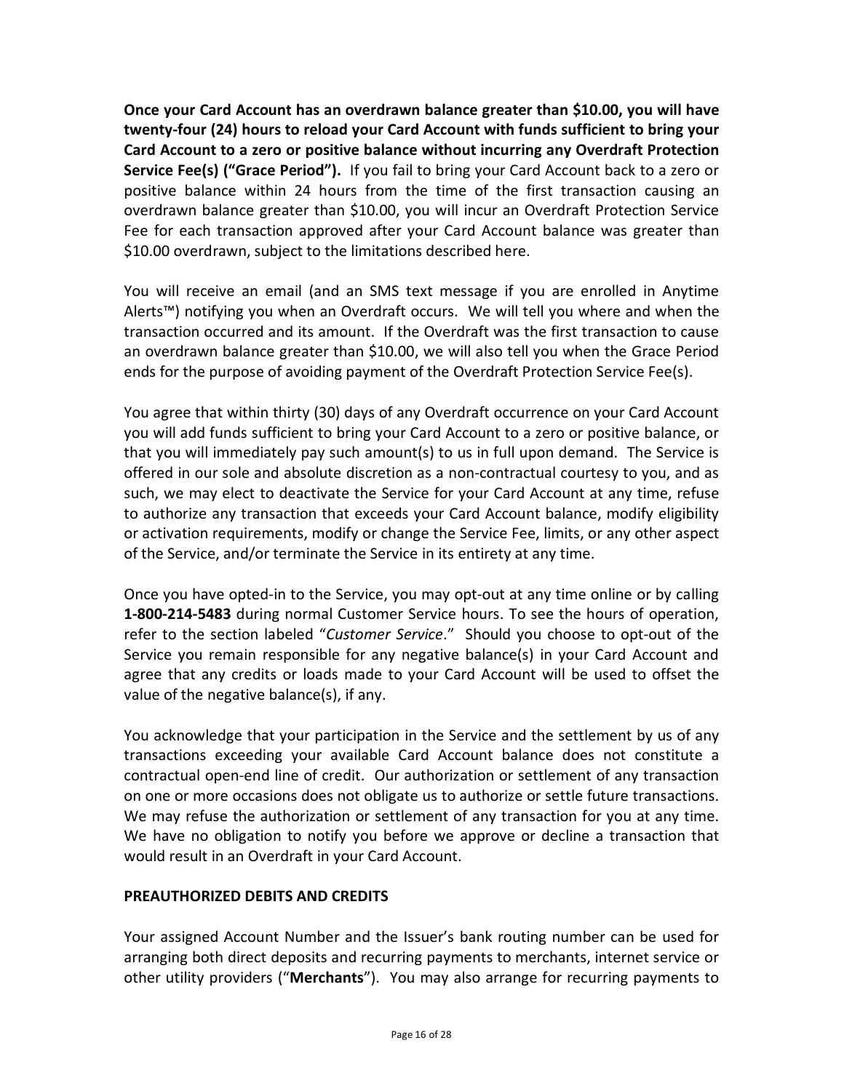**Once your Card Account has an overdrawn balance greater than \$10.00, you will have twenty-four (24) hours to reload your Card Account with funds sufficient to bring your Card Account to a zero or positive balance without incurring any Overdraft Protection Service Fee(s) ("Grace Period").** If you fail to bring your Card Account back to a zero or positive balance within 24 hours from the time of the first transaction causing an overdrawn balance greater than \$10.00, you will incur an Overdraft Protection Service Fee for each transaction approved after your Card Account balance was greater than \$10.00 overdrawn, subject to the limitations described here.

You will receive an email (and an SMS text message if you are enrolled in Anytime Alerts™) notifying you when an Overdraft occurs. We will tell you where and when the transaction occurred and its amount. If the Overdraft was the first transaction to cause an overdrawn balance greater than \$10.00, we will also tell you when the Grace Period ends for the purpose of avoiding payment of the Overdraft Protection Service Fee(s).

You agree that within thirty (30) days of any Overdraft occurrence on your Card Account you will add funds sufficient to bring your Card Account to a zero or positive balance, or that you will immediately pay such amount(s) to us in full upon demand. The Service is offered in our sole and absolute discretion as a non-contractual courtesy to you, and as such, we may elect to deactivate the Service for your Card Account at any time, refuse to authorize any transaction that exceeds your Card Account balance, modify eligibility or activation requirements, modify or change the Service Fee, limits, or any other aspect of the Service, and/or terminate the Service in its entirety at any time.

Once you have opted-in to the Service, you may opt-out at any time online or by calling **1-800-214-5483** during normal Customer Service hours. To see the hours of operation, refer to the section labeled "*Customer Service*." Should you choose to opt-out of the Service you remain responsible for any negative balance(s) in your Card Account and agree that any credits or loads made to your Card Account will be used to offset the value of the negative balance(s), if any.

You acknowledge that your participation in the Service and the settlement by us of any transactions exceeding your available Card Account balance does not constitute a contractual open-end line of credit. Our authorization or settlement of any transaction on one or more occasions does not obligate us to authorize or settle future transactions. We may refuse the authorization or settlement of any transaction for you at any time. We have no obligation to notify you before we approve or decline a transaction that would result in an Overdraft in your Card Account.

# **PREAUTHORIZED DEBITS AND CREDITS**

Your assigned Account Number and the Issuer's bank routing number can be used for arranging both direct deposits and recurring payments to merchants, internet service or other utility providers ("**Merchants**"). You may also arrange for recurring payments to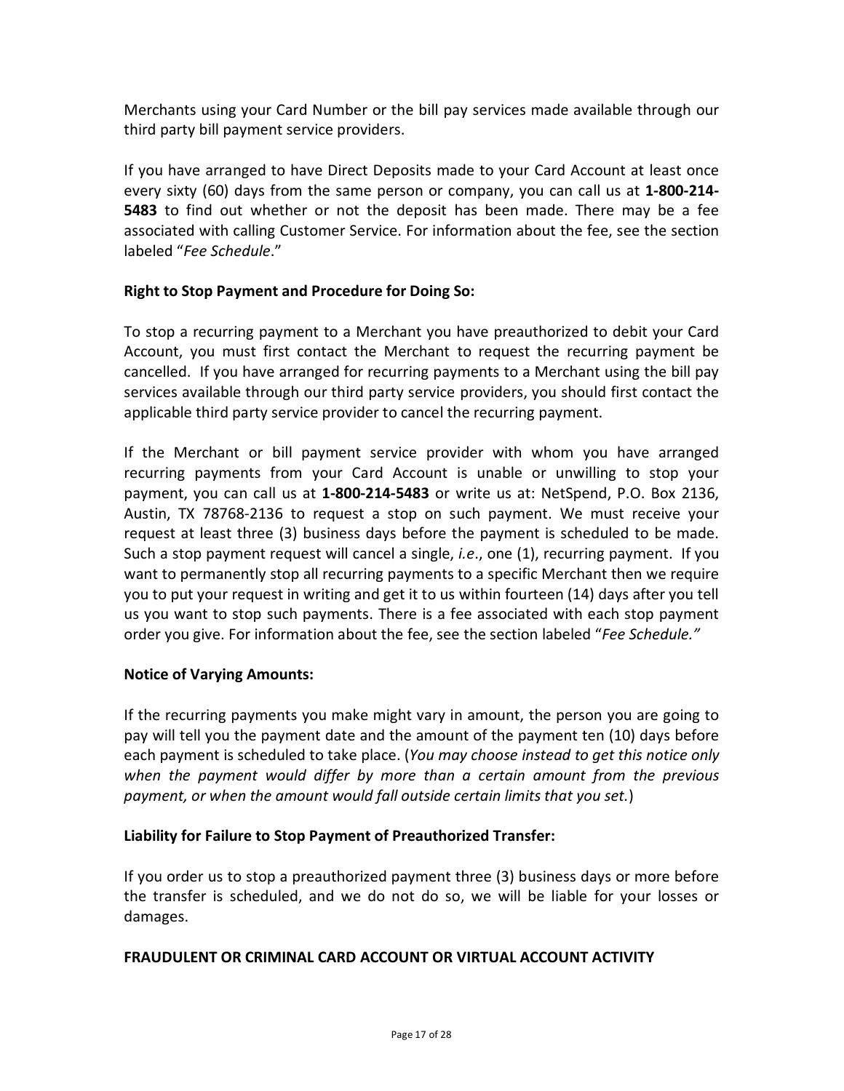Merchants using your Card Number or the bill pay services made available through our third party bill payment service providers.

If you have arranged to have Direct Deposits made to your Card Account at least once every sixty (60) days from the same person or company, you can call us at **1-800-214- 5483** to find out whether or not the deposit has been made. There may be a fee associated with calling Customer Service. For information about the fee, see the section labeled "*Fee Schedule*."

# **Right to Stop Payment and Procedure for Doing So:**

To stop a recurring payment to a Merchant you have preauthorized to debit your Card Account, you must first contact the Merchant to request the recurring payment be cancelled. If you have arranged for recurring payments to a Merchant using the bill pay services available through our third party service providers, you should first contact the applicable third party service provider to cancel the recurring payment.

If the Merchant or bill payment service provider with whom you have arranged recurring payments from your Card Account is unable or unwilling to stop your payment, you can call us at **1-800-214-5483** or write us at: NetSpend, P.O. Box 2136, Austin, TX 78768-2136 to request a stop on such payment. We must receive your request at least three (3) business days before the payment is scheduled to be made. Such a stop payment request will cancel a single, *i.e*., one (1), recurring payment. If you want to permanently stop all recurring payments to a specific Merchant then we require you to put your request in writing and get it to us within fourteen (14) days after you tell us you want to stop such payments. There is a fee associated with each stop payment order you give. For information about the fee, see the section labeled "*Fee Schedule."*

# **Notice of Varying Amounts:**

If the recurring payments you make might vary in amount, the person you are going to pay will tell you the payment date and the amount of the payment ten (10) days before each payment is scheduled to take place. (*You may choose instead to get this notice only when the payment would differ by more than a certain amount from the previous payment, or when the amount would fall outside certain limits that you set.*)

### **Liability for Failure to Stop Payment of Preauthorized Transfer:**

If you order us to stop a preauthorized payment three (3) business days or more before the transfer is scheduled, and we do not do so, we will be liable for your losses or damages.

### **FRAUDULENT OR CRIMINAL CARD ACCOUNT OR VIRTUAL ACCOUNT ACTIVITY**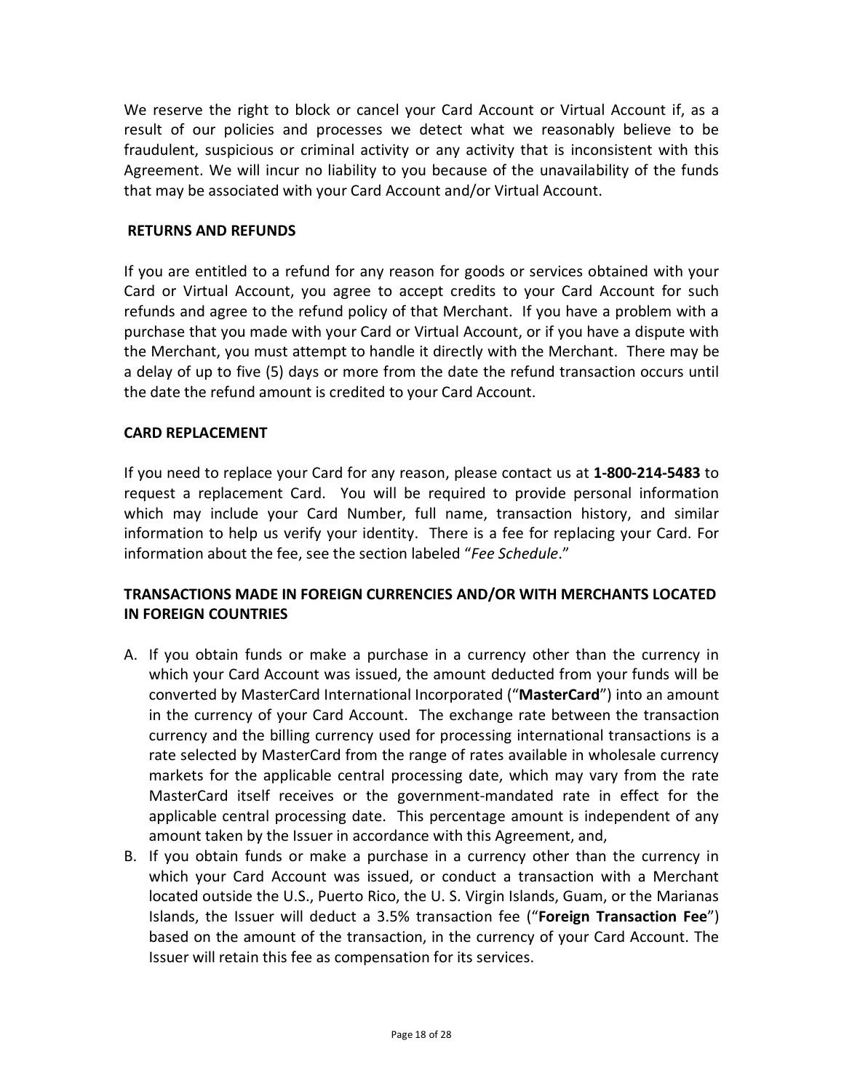We reserve the right to block or cancel your Card Account or Virtual Account if, as a result of our policies and processes we detect what we reasonably believe to be fraudulent, suspicious or criminal activity or any activity that is inconsistent with this Agreement. We will incur no liability to you because of the unavailability of the funds that may be associated with your Card Account and/or Virtual Account.

#### **RETURNS AND REFUNDS**

If you are entitled to a refund for any reason for goods or services obtained with your Card or Virtual Account, you agree to accept credits to your Card Account for such refunds and agree to the refund policy of that Merchant. If you have a problem with a purchase that you made with your Card or Virtual Account, or if you have a dispute with the Merchant, you must attempt to handle it directly with the Merchant. There may be a delay of up to five (5) days or more from the date the refund transaction occurs until the date the refund amount is credited to your Card Account.

#### **CARD REPLACEMENT**

If you need to replace your Card for any reason, please contact us at **1-800-214-5483** to request a replacement Card. You will be required to provide personal information which may include your Card Number, full name, transaction history, and similar information to help us verify your identity. There is a fee for replacing your Card. For information about the fee, see the section labeled "*Fee Schedule*."

## **TRANSACTIONS MADE IN FOREIGN CURRENCIES AND/OR WITH MERCHANTS LOCATED IN FOREIGN COUNTRIES**

- A. If you obtain funds or make a purchase in a currency other than the currency in which your Card Account was issued, the amount deducted from your funds will be converted by MasterCard International Incorporated ("**MasterCard**") into an amount in the currency of your Card Account. The exchange rate between the transaction currency and the billing currency used for processing international transactions is a rate selected by MasterCard from the range of rates available in wholesale currency markets for the applicable central processing date, which may vary from the rate MasterCard itself receives or the government-mandated rate in effect for the applicable central processing date. This percentage amount is independent of any amount taken by the Issuer in accordance with this Agreement, and,
- B. If you obtain funds or make a purchase in a currency other than the currency in which your Card Account was issued, or conduct a transaction with a Merchant located outside the U.S., Puerto Rico, the U. S. Virgin Islands, Guam, or the Marianas Islands, the Issuer will deduct a 3.5% transaction fee ("**Foreign Transaction Fee**") based on the amount of the transaction, in the currency of your Card Account. The Issuer will retain this fee as compensation for its services.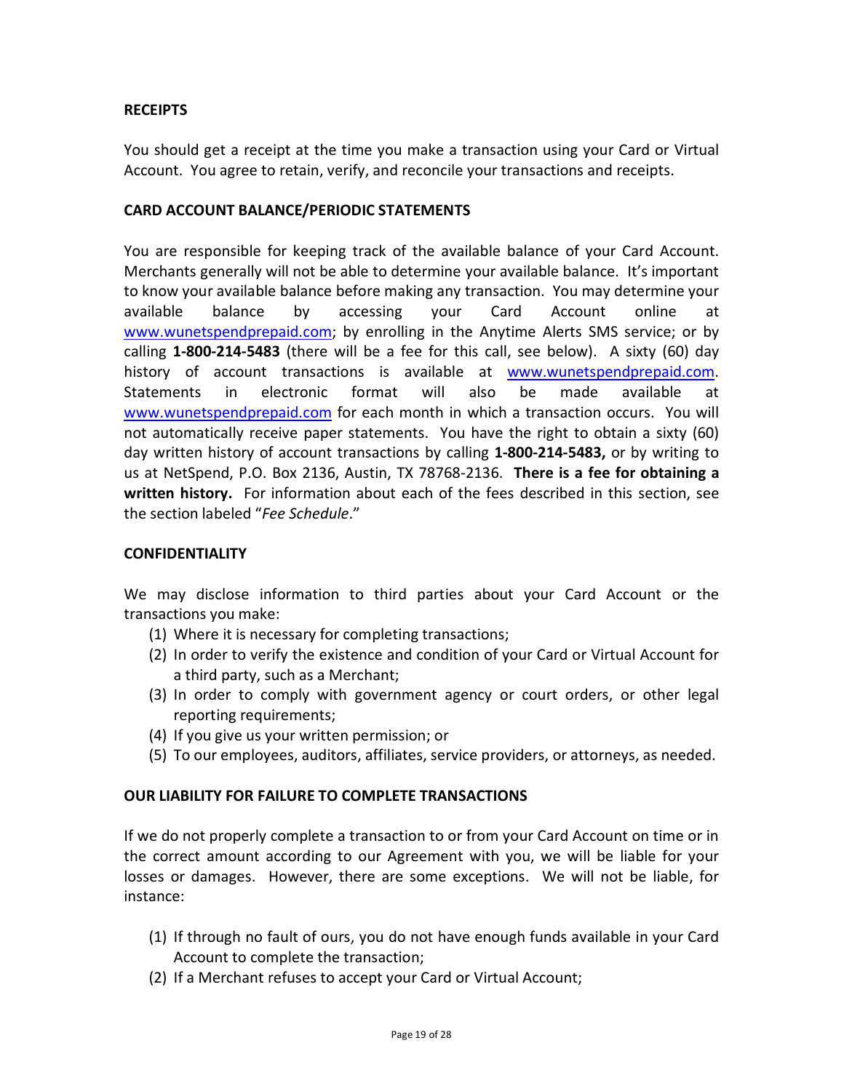### **RECEIPTS**

You should get a receipt at the time you make a transaction using your Card or Virtual Account. You agree to retain, verify, and reconcile your transactions and receipts.

#### **CARD ACCOUNT BALANCE/PERIODIC STATEMENTS**

You are responsible for keeping track of the available balance of your Card Account. Merchants generally will not be able to determine your available balance. It's important to know your available balance before making any transaction. You may determine your available balance by accessing your Card Account online at [www.wunetspendprepaid.com;](http://www.wunetspendprepaid.com/) by enrolling in the Anytime Alerts SMS service; or by calling **1-800-214-5483** (there will be a fee for this call, see below). A sixty (60) day history of account transactions is available at [www.wunetspendprepaid.com.](http://www.wunetspendprepaid.com/) Statements in electronic format will also be made available at [www.wunetspendprepaid.com](http://www.wunetspendprepaid.com/) for each month in which a transaction occurs. You will not automatically receive paper statements. You have the right to obtain a sixty (60) day written history of account transactions by calling **1-800-214-5483,** or by writing to us at NetSpend, P.O. Box 2136, Austin, TX 78768-2136. **There is a fee for obtaining a written history.** For information about each of the fees described in this section, see the section labeled "*Fee Schedule*."

#### **CONFIDENTIALITY**

We may disclose information to third parties about your Card Account or the transactions you make:

- (1) Where it is necessary for completing transactions;
- (2) In order to verify the existence and condition of your Card or Virtual Account for a third party, such as a Merchant;
- (3) In order to comply with government agency or court orders, or other legal reporting requirements;
- (4) If you give us your written permission; or
- (5) To our employees, auditors, affiliates, service providers, or attorneys, as needed.

### **OUR LIABILITY FOR FAILURE TO COMPLETE TRANSACTIONS**

If we do not properly complete a transaction to or from your Card Account on time or in the correct amount according to our Agreement with you, we will be liable for your losses or damages. However, there are some exceptions. We will not be liable, for instance:

- (1) If through no fault of ours, you do not have enough funds available in your Card Account to complete the transaction;
- (2) If a Merchant refuses to accept your Card or Virtual Account;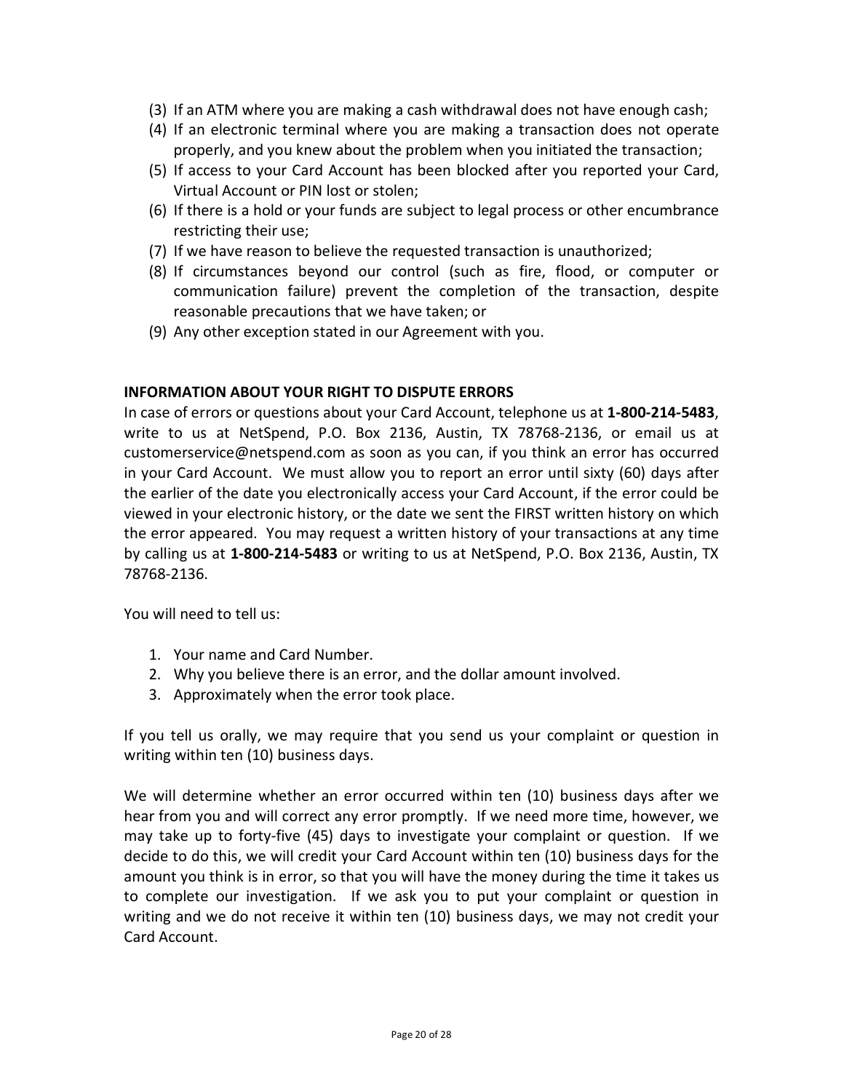- (3) If an ATM where you are making a cash withdrawal does not have enough cash;
- (4) If an electronic terminal where you are making a transaction does not operate properly, and you knew about the problem when you initiated the transaction;
- (5) If access to your Card Account has been blocked after you reported your Card, Virtual Account or PIN lost or stolen;
- (6) If there is a hold or your funds are subject to legal process or other encumbrance restricting their use;
- (7) If we have reason to believe the requested transaction is unauthorized;
- (8) If circumstances beyond our control (such as fire, flood, or computer or communication failure) prevent the completion of the transaction, despite reasonable precautions that we have taken; or
- (9) Any other exception stated in our Agreement with you.

#### **INFORMATION ABOUT YOUR RIGHT TO DISPUTE ERRORS**

In case of errors or questions about your Card Account, telephone us at **1-800-214-5483**, write to us at NetSpend, P.O. Box 2136, Austin, TX 78768-2136, or email us at customerservice@netspend.com as soon as you can, if you think an error has occurred in your Card Account. We must allow you to report an error until sixty (60) days after the earlier of the date you electronically access your Card Account, if the error could be viewed in your electronic history, or the date we sent the FIRST written history on which the error appeared. You may request a written history of your transactions at any time by calling us at **1-800-214-5483** or writing to us at NetSpend, P.O. Box 2136, Austin, TX 78768-2136.

You will need to tell us:

- 1. Your name and Card Number.
- 2. Why you believe there is an error, and the dollar amount involved.
- 3. Approximately when the error took place.

If you tell us orally, we may require that you send us your complaint or question in writing within ten (10) business days.

We will determine whether an error occurred within ten (10) business days after we hear from you and will correct any error promptly. If we need more time, however, we may take up to forty-five (45) days to investigate your complaint or question. If we decide to do this, we will credit your Card Account within ten (10) business days for the amount you think is in error, so that you will have the money during the time it takes us to complete our investigation. If we ask you to put your complaint or question in writing and we do not receive it within ten (10) business days, we may not credit your Card Account.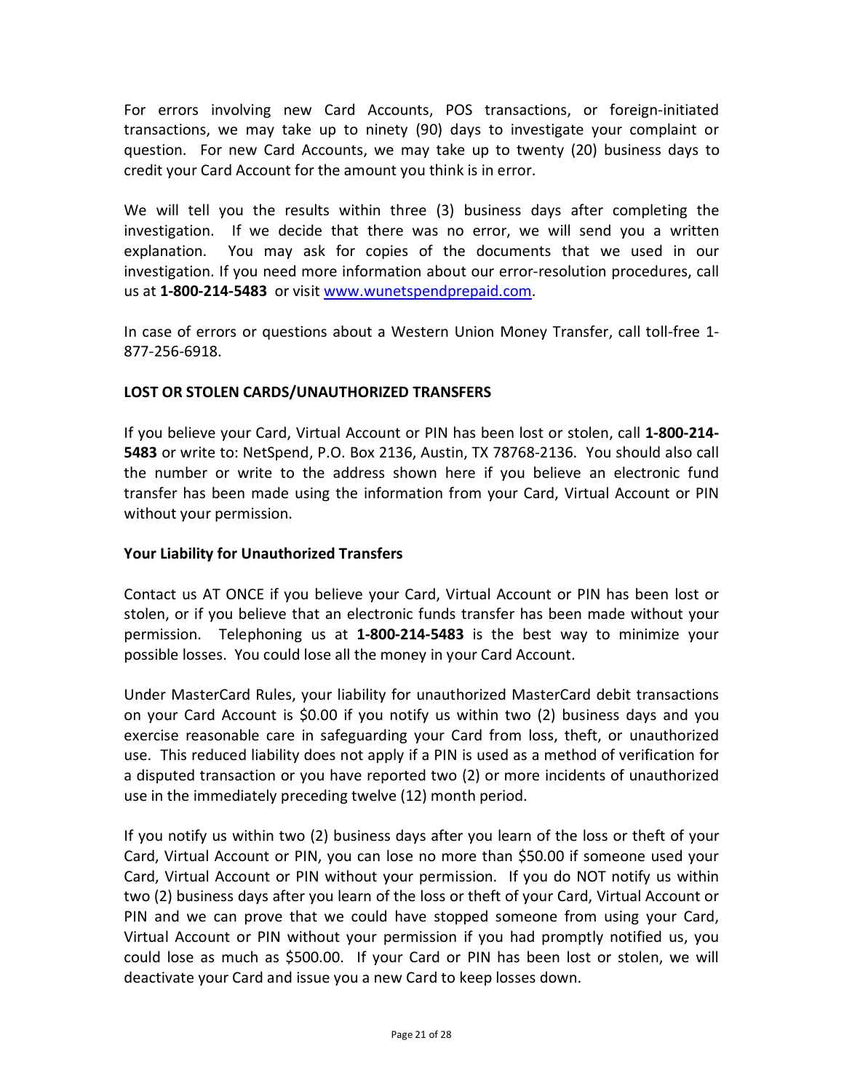For errors involving new Card Accounts, POS transactions, or foreign-initiated transactions, we may take up to ninety (90) days to investigate your complaint or question. For new Card Accounts, we may take up to twenty (20) business days to credit your Card Account for the amount you think is in error.

We will tell you the results within three (3) business days after completing the investigation. If we decide that there was no error, we will send you a written explanation. You may ask for copies of the documents that we used in our investigation. If you need more information about our error-resolution procedures, call us at **1-800-214-5483** or visit [www.wunetspendprepaid.com.](http://www.wunetspendprepaid.com/)

In case of errors or questions about a Western Union Money Transfer, call toll-free 1- 877-256-6918.

## **LOST OR STOLEN CARDS/UNAUTHORIZED TRANSFERS**

If you believe your Card, Virtual Account or PIN has been lost or stolen, call **1-800-214- 5483** or write to: NetSpend, P.O. Box 2136, Austin, TX 78768-2136. You should also call the number or write to the address shown here if you believe an electronic fund transfer has been made using the information from your Card, Virtual Account or PIN without your permission.

## **Your Liability for Unauthorized Transfers**

Contact us AT ONCE if you believe your Card, Virtual Account or PIN has been lost or stolen, or if you believe that an electronic funds transfer has been made without your permission. Telephoning us at **1-800-214-5483** is the best way to minimize your possible losses. You could lose all the money in your Card Account.

Under MasterCard Rules, your liability for unauthorized MasterCard debit transactions on your Card Account is \$0.00 if you notify us within two (2) business days and you exercise reasonable care in safeguarding your Card from loss, theft, or unauthorized use. This reduced liability does not apply if a PIN is used as a method of verification for a disputed transaction or you have reported two (2) or more incidents of unauthorized use in the immediately preceding twelve (12) month period.

If you notify us within two (2) business days after you learn of the loss or theft of your Card, Virtual Account or PIN, you can lose no more than \$50.00 if someone used your Card, Virtual Account or PIN without your permission. If you do NOT notify us within two (2) business days after you learn of the loss or theft of your Card, Virtual Account or PIN and we can prove that we could have stopped someone from using your Card, Virtual Account or PIN without your permission if you had promptly notified us, you could lose as much as \$500.00.If your Card or PIN has been lost or stolen, we will deactivate your Card and issue you a new Card to keep losses down.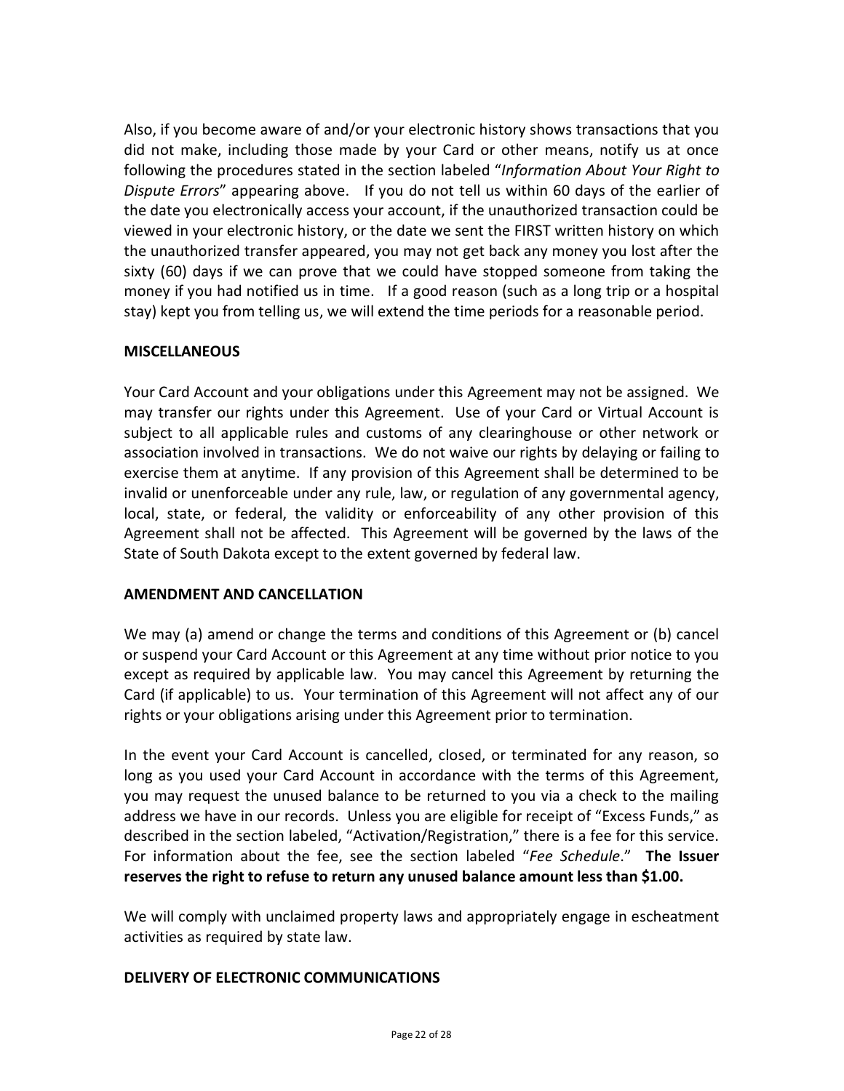Also, if you become aware of and/or your electronic history shows transactions that you did not make, including those made by your Card or other means, notify us at once following the procedures stated in the section labeled "*Information About Your Right to Dispute Errors*" appearing above. If you do not tell us within 60 days of the earlier of the date you electronically access your account, if the unauthorized transaction could be viewed in your electronic history, or the date we sent the FIRST written history on which the unauthorized transfer appeared, you may not get back any money you lost after the sixty (60) days if we can prove that we could have stopped someone from taking the money if you had notified us in time. If a good reason (such as a long trip or a hospital stay) kept you from telling us, we will extend the time periods for a reasonable period.

## **MISCELLANEOUS**

Your Card Account and your obligations under this Agreement may not be assigned. We may transfer our rights under this Agreement. Use of your Card or Virtual Account is subject to all applicable rules and customs of any clearinghouse or other network or association involved in transactions. We do not waive our rights by delaying or failing to exercise them at anytime. If any provision of this Agreement shall be determined to be invalid or unenforceable under any rule, law, or regulation of any governmental agency, local, state, or federal, the validity or enforceability of any other provision of this Agreement shall not be affected. This Agreement will be governed by the laws of the State of South Dakota except to the extent governed by federal law.

### **AMENDMENT AND CANCELLATION**

We may (a) amend or change the terms and conditions of this Agreement or (b) cancel or suspend your Card Account or this Agreement at any time without prior notice to you except as required by applicable law. You may cancel this Agreement by returning the Card (if applicable) to us. Your termination of this Agreement will not affect any of our rights or your obligations arising under this Agreement prior to termination.

In the event your Card Account is cancelled, closed, or terminated for any reason, so long as you used your Card Account in accordance with the terms of this Agreement, you may request the unused balance to be returned to you via a check to the mailing address we have in our records. Unless you are eligible for receipt of "Excess Funds," as described in the section labeled, "Activation/Registration," there is a fee for this service. For information about the fee, see the section labeled "*Fee Schedule*." **The Issuer reserves the right to refuse to return any unused balance amount less than \$1.00.**

We will comply with unclaimed property laws and appropriately engage in escheatment activities as required by state law.

### **DELIVERY OF ELECTRONIC COMMUNICATIONS**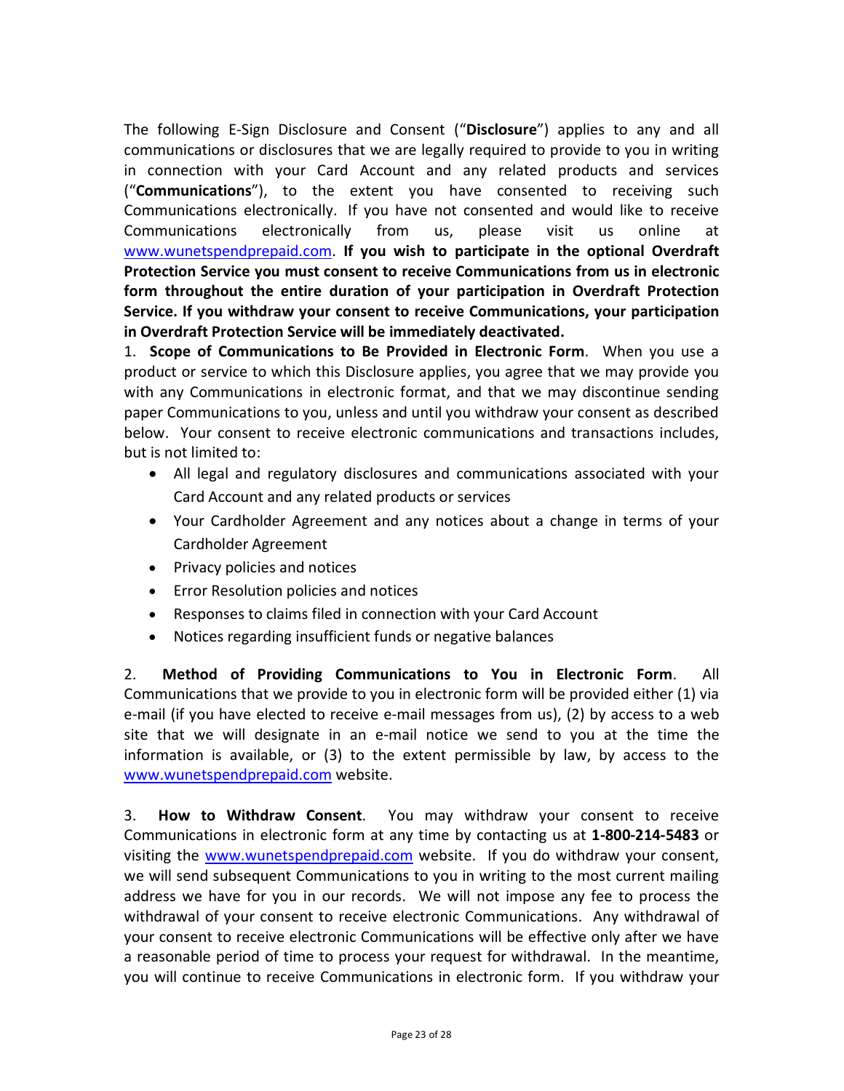The following E-Sign Disclosure and Consent ("**Disclosure**") applies to any and all communications or disclosures that we are legally required to provide to you in writing in connection with your Card Account and any related products and services ("**Communications**"), to the extent you have consented to receiving such Communications electronically. If you have not consented and would like to receive Communications electronically from us, please visit us online at [www.wunetspendprepaid.com.](http://www.wunetspendprepaid.com/) **If you wish to participate in the optional Overdraft Protection Service you must consent to receive Communications from us in electronic form throughout the entire duration of your participation in Overdraft Protection Service. If you withdraw your consent to receive Communications, your participation in Overdraft Protection Service will be immediately deactivated.**

1. **Scope of Communications to Be Provided in Electronic Form**. When you use a product or service to which this Disclosure applies, you agree that we may provide you with any Communications in electronic format, and that we may discontinue sending paper Communications to you, unless and until you withdraw your consent as described below. Your consent to receive electronic communications and transactions includes, but is not limited to:

- All legal and regulatory disclosures and communications associated with your Card Account and any related products or services
- Your Cardholder Agreement and any notices about a change in terms of your Cardholder Agreement
- Privacy policies and notices
- Error Resolution policies and notices
- Responses to claims filed in connection with your Card Account
- Notices regarding insufficient funds or negative balances

2. **Method of Providing Communications to You in Electronic Form**. All Communications that we provide to you in electronic form will be provided either (1) via e-mail (if you have elected to receive e-mail messages from us), (2) by access to a web site that we will designate in an e-mail notice we send to you at the time the information is available, or (3) to the extent permissible by law, by access to the [www.wunetspendprepaid.com](http://www.wunetspendprepaid.com/) website.

3. **How to Withdraw Consent**. You may withdraw your consent to receive Communications in electronic form at any time by contacting us at **1-800-214-5483** or visiting the [www.wunetspendprepaid.com](http://www.wunetspendprepaid.com/) website. If you do withdraw your consent, we will send subsequent Communications to you in writing to the most current mailing address we have for you in our records. We will not impose any fee to process the withdrawal of your consent to receive electronic Communications. Any withdrawal of your consent to receive electronic Communications will be effective only after we have a reasonable period of time to process your request for withdrawal. In the meantime, you will continue to receive Communications in electronic form. If you withdraw your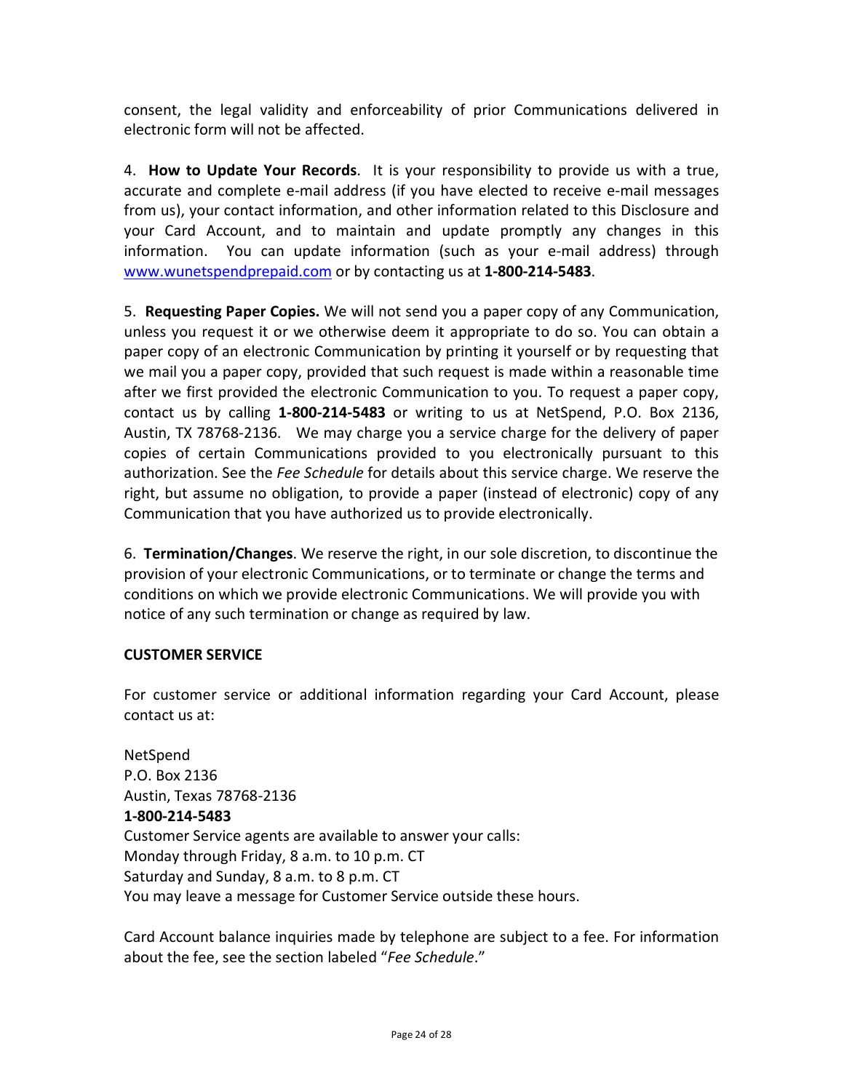consent, the legal validity and enforceability of prior Communications delivered in electronic form will not be affected.

4. **How to Update Your Records**. It is your responsibility to provide us with a true, accurate and complete e-mail address (if you have elected to receive e-mail messages from us), your contact information, and other information related to this Disclosure and your Card Account, and to maintain and update promptly any changes in this information. You can update information (such as your e-mail address) through [www.wunetspendprepaid.com](http://www.wunetspendprepaid.com/) or by contacting us at **1-800-214-5483**.

5. **Requesting Paper Copies.** We will not send you a paper copy of any Communication, unless you request it or we otherwise deem it appropriate to do so. You can obtain a paper copy of an electronic Communication by printing it yourself or by requesting that we mail you a paper copy, provided that such request is made within a reasonable time after we first provided the electronic Communication to you. To request a paper copy, contact us by calling **1-800-214-5483** or writing to us at NetSpend, P.O. Box 2136, Austin, TX 78768-2136. We may charge you a service charge for the delivery of paper copies of certain Communications provided to you electronically pursuant to this authorization. See the *Fee Schedule* for details about this service charge. We reserve the right, but assume no obligation, to provide a paper (instead of electronic) copy of any Communication that you have authorized us to provide electronically.

6. **Termination/Changes**. We reserve the right, in our sole discretion, to discontinue the provision of your electronic Communications, or to terminate or change the terms and conditions on which we provide electronic Communications. We will provide you with notice of any such termination or change as required by law.

# **CUSTOMER SERVICE**

For customer service or additional information regarding your Card Account, please contact us at:

NetSpend P.O. Box 2136 Austin, Texas 78768-2136 **1-800-214-5483** Customer Service agents are available to answer your calls: Monday through Friday, 8 a.m. to 10 p.m. CT Saturday and Sunday, 8 a.m. to 8 p.m. CT You may leave a message for Customer Service outside these hours.

Card Account balance inquiries made by telephone are subject to a fee. For information about the fee, see the section labeled "*Fee Schedule*."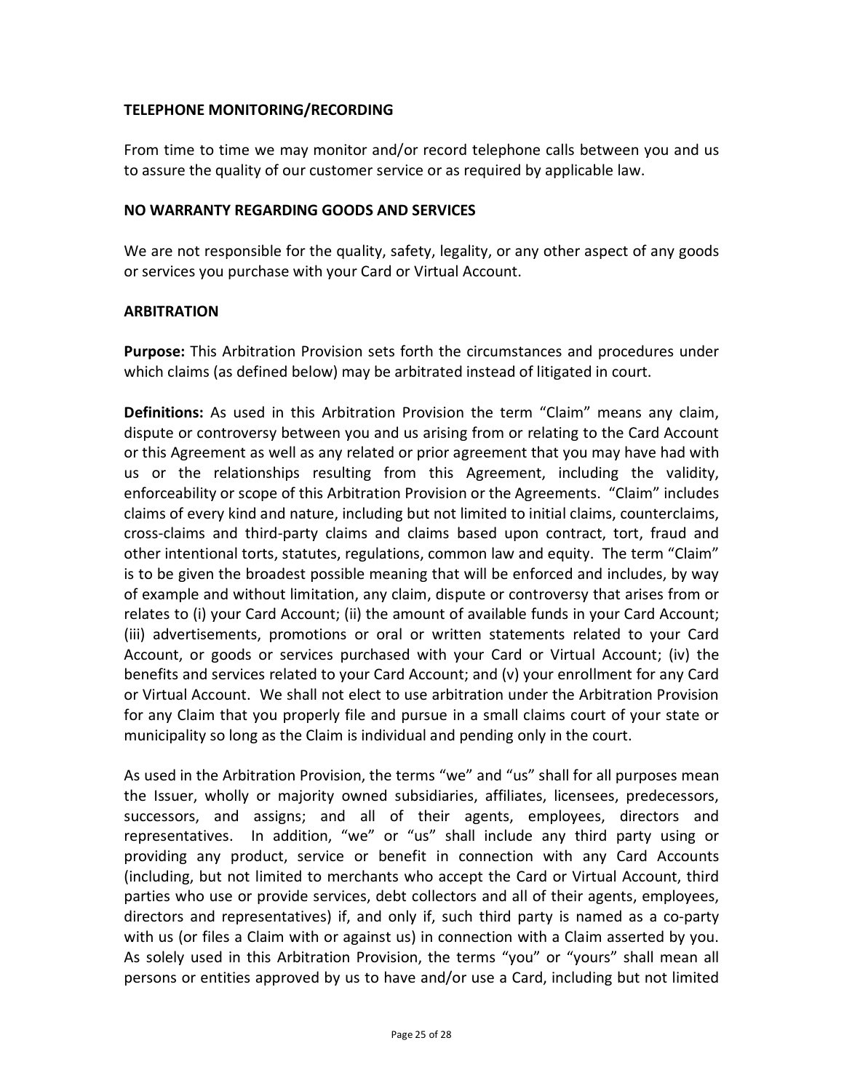## **TELEPHONE MONITORING/RECORDING**

From time to time we may monitor and/or record telephone calls between you and us to assure the quality of our customer service or as required by applicable law.

#### **NO WARRANTY REGARDING GOODS AND SERVICES**

We are not responsible for the quality, safety, legality, or any other aspect of any goods or services you purchase with your Card or Virtual Account.

### **ARBITRATION**

**Purpose:** This Arbitration Provision sets forth the circumstances and procedures under which claims (as defined below) may be arbitrated instead of litigated in court.

**Definitions:** As used in this Arbitration Provision the term "Claim" means any claim, dispute or controversy between you and us arising from or relating to the Card Account or this Agreement as well as any related or prior agreement that you may have had with us or the relationships resulting from this Agreement, including the validity, enforceability or scope of this Arbitration Provision or the Agreements. "Claim" includes claims of every kind and nature, including but not limited to initial claims, counterclaims, cross-claims and third-party claims and claims based upon contract, tort, fraud and other intentional torts, statutes, regulations, common law and equity. The term "Claim" is to be given the broadest possible meaning that will be enforced and includes, by way of example and without limitation, any claim, dispute or controversy that arises from or relates to (i) your Card Account; (ii) the amount of available funds in your Card Account; (iii) advertisements, promotions or oral or written statements related to your Card Account, or goods or services purchased with your Card or Virtual Account; (iv) the benefits and services related to your Card Account; and (v) your enrollment for any Card or Virtual Account. We shall not elect to use arbitration under the Arbitration Provision for any Claim that you properly file and pursue in a small claims court of your state or municipality so long as the Claim is individual and pending only in the court.

As used in the Arbitration Provision, the terms "we" and "us" shall for all purposes mean the Issuer, wholly or majority owned subsidiaries, affiliates, licensees, predecessors, successors, and assigns; and all of their agents, employees, directors and representatives. In addition, "we" or "us" shall include any third party using or providing any product, service or benefit in connection with any Card Accounts (including, but not limited to merchants who accept the Card or Virtual Account, third parties who use or provide services, debt collectors and all of their agents, employees, directors and representatives) if, and only if, such third party is named as a co-party with us (or files a Claim with or against us) in connection with a Claim asserted by you. As solely used in this Arbitration Provision, the terms "you" or "yours" shall mean all persons or entities approved by us to have and/or use a Card, including but not limited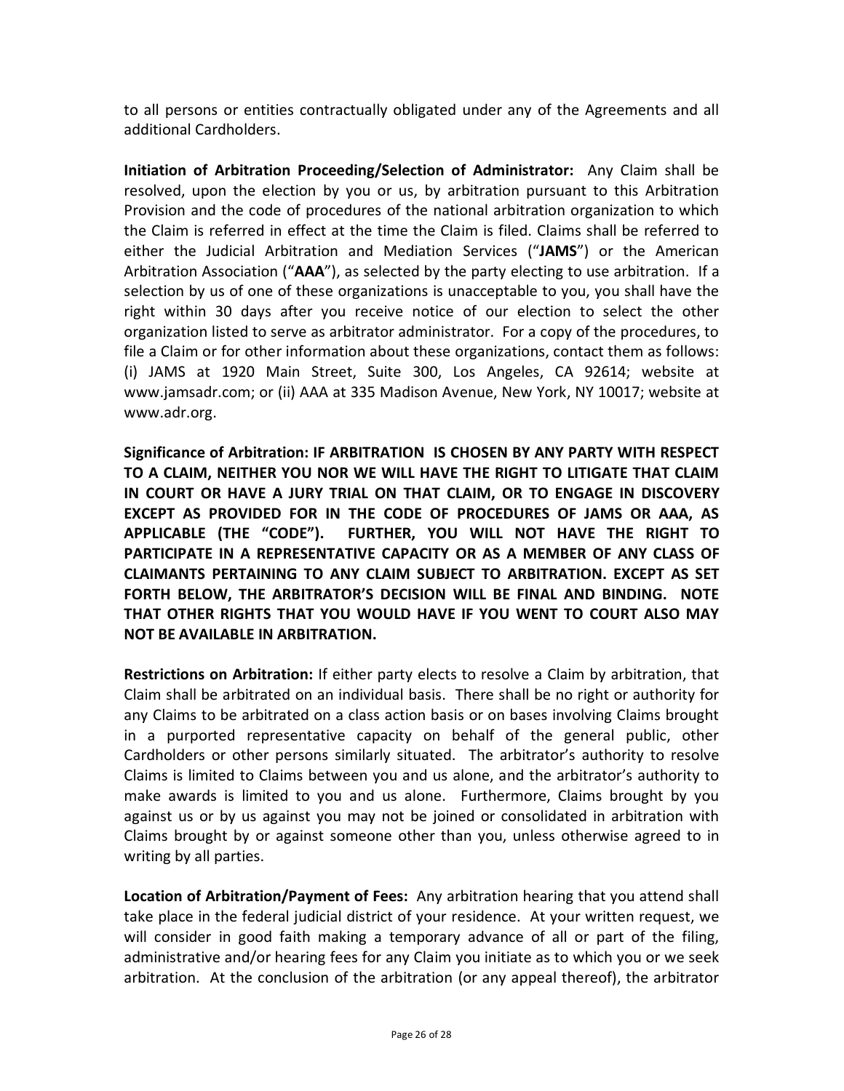to all persons or entities contractually obligated under any of the Agreements and all additional Cardholders.

**Initiation of Arbitration Proceeding/Selection of Administrator:** Any Claim shall be resolved, upon the election by you or us, by arbitration pursuant to this Arbitration Provision and the code of procedures of the national arbitration organization to which the Claim is referred in effect at the time the Claim is filed. Claims shall be referred to either the Judicial Arbitration and Mediation Services ("**JAMS**") or the American Arbitration Association ("**AAA**"), as selected by the party electing to use arbitration. If a selection by us of one of these organizations is unacceptable to you, you shall have the right within 30 days after you receive notice of our election to select the other organization listed to serve as arbitrator administrator. For a copy of the procedures, to file a Claim or for other information about these organizations, contact them as follows: (i) JAMS at 1920 Main Street, Suite 300, Los Angeles, CA 92614; website at www.jamsadr.com; or (ii) AAA at 335 Madison Avenue, New York, NY 10017; website at www.adr.org.

**Significance of Arbitration: IF ARBITRATION IS CHOSEN BY ANY PARTY WITH RESPECT TO A CLAIM, NEITHER YOU NOR WE WILL HAVE THE RIGHT TO LITIGATE THAT CLAIM IN COURT OR HAVE A JURY TRIAL ON THAT CLAIM, OR TO ENGAGE IN DISCOVERY EXCEPT AS PROVIDED FOR IN THE CODE OF PROCEDURES OF JAMS OR AAA, AS APPLICABLE (THE "CODE"). FURTHER, YOU WILL NOT HAVE THE RIGHT TO PARTICIPATE IN A REPRESENTATIVE CAPACITY OR AS A MEMBER OF ANY CLASS OF CLAIMANTS PERTAINING TO ANY CLAIM SUBJECT TO ARBITRATION. EXCEPT AS SET FORTH BELOW, THE ARBITRATOR'S DECISION WILL BE FINAL AND BINDING. NOTE THAT OTHER RIGHTS THAT YOU WOULD HAVE IF YOU WENT TO COURT ALSO MAY NOT BE AVAILABLE IN ARBITRATION.**

**Restrictions on Arbitration:** If either party elects to resolve a Claim by arbitration, that Claim shall be arbitrated on an individual basis. There shall be no right or authority for any Claims to be arbitrated on a class action basis or on bases involving Claims brought in a purported representative capacity on behalf of the general public, other Cardholders or other persons similarly situated. The arbitrator's authority to resolve Claims is limited to Claims between you and us alone, and the arbitrator's authority to make awards is limited to you and us alone. Furthermore, Claims brought by you against us or by us against you may not be joined or consolidated in arbitration with Claims brought by or against someone other than you, unless otherwise agreed to in writing by all parties.

**Location of Arbitration/Payment of Fees:** Any arbitration hearing that you attend shall take place in the federal judicial district of your residence. At your written request, we will consider in good faith making a temporary advance of all or part of the filing, administrative and/or hearing fees for any Claim you initiate as to which you or we seek arbitration. At the conclusion of the arbitration (or any appeal thereof), the arbitrator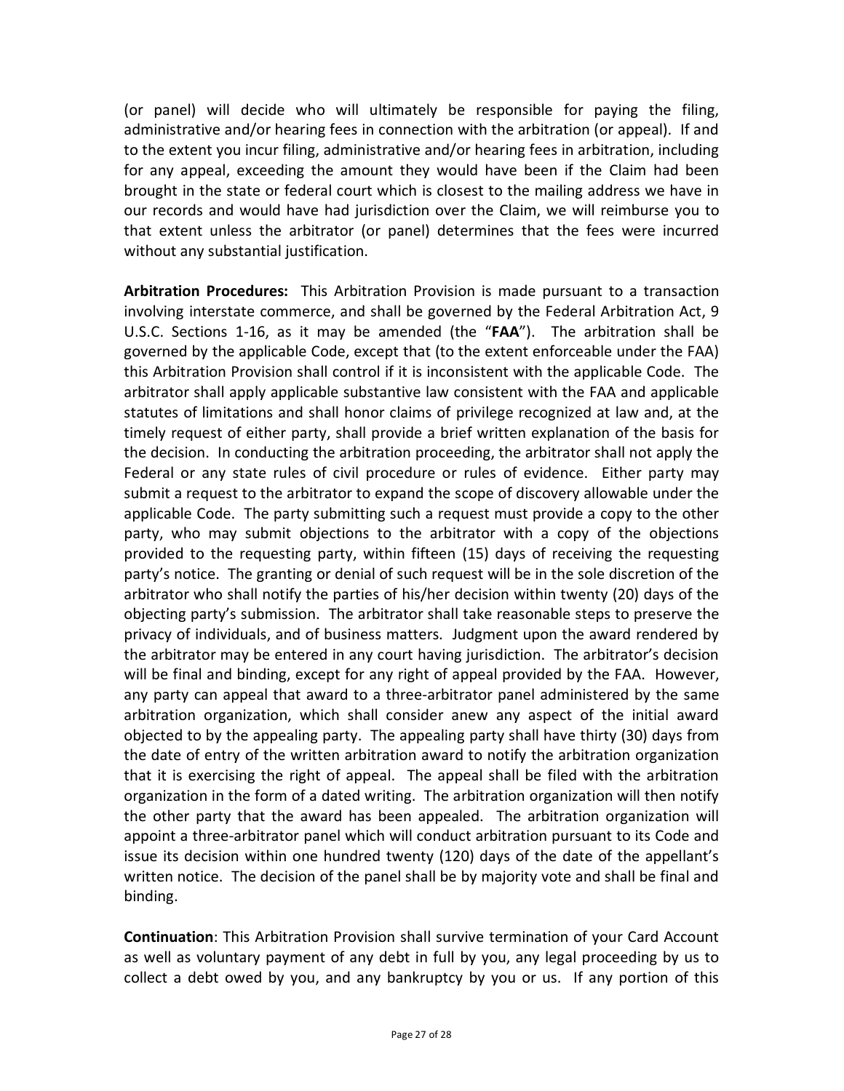(or panel) will decide who will ultimately be responsible for paying the filing, administrative and/or hearing fees in connection with the arbitration (or appeal). If and to the extent you incur filing, administrative and/or hearing fees in arbitration, including for any appeal, exceeding the amount they would have been if the Claim had been brought in the state or federal court which is closest to the mailing address we have in our records and would have had jurisdiction over the Claim, we will reimburse you to that extent unless the arbitrator (or panel) determines that the fees were incurred without any substantial justification.

**Arbitration Procedures:** This Arbitration Provision is made pursuant to a transaction involving interstate commerce, and shall be governed by the Federal Arbitration Act, 9 U.S.C. Sections 1-16, as it may be amended (the "**FAA**"). The arbitration shall be governed by the applicable Code, except that (to the extent enforceable under the FAA) this Arbitration Provision shall control if it is inconsistent with the applicable Code. The arbitrator shall apply applicable substantive law consistent with the FAA and applicable statutes of limitations and shall honor claims of privilege recognized at law and, at the timely request of either party, shall provide a brief written explanation of the basis for the decision. In conducting the arbitration proceeding, the arbitrator shall not apply the Federal or any state rules of civil procedure or rules of evidence. Either party may submit a request to the arbitrator to expand the scope of discovery allowable under the applicable Code. The party submitting such a request must provide a copy to the other party, who may submit objections to the arbitrator with a copy of the objections provided to the requesting party, within fifteen (15) days of receiving the requesting party's notice. The granting or denial of such request will be in the sole discretion of the arbitrator who shall notify the parties of his/her decision within twenty (20) days of the objecting party's submission. The arbitrator shall take reasonable steps to preserve the privacy of individuals, and of business matters. Judgment upon the award rendered by the arbitrator may be entered in any court having jurisdiction. The arbitrator's decision will be final and binding, except for any right of appeal provided by the FAA. However, any party can appeal that award to a three-arbitrator panel administered by the same arbitration organization, which shall consider anew any aspect of the initial award objected to by the appealing party. The appealing party shall have thirty (30) days from the date of entry of the written arbitration award to notify the arbitration organization that it is exercising the right of appeal. The appeal shall be filed with the arbitration organization in the form of a dated writing. The arbitration organization will then notify the other party that the award has been appealed. The arbitration organization will appoint a three-arbitrator panel which will conduct arbitration pursuant to its Code and issue its decision within one hundred twenty (120) days of the date of the appellant's written notice. The decision of the panel shall be by majority vote and shall be final and binding.

**Continuation**: This Arbitration Provision shall survive termination of your Card Account as well as voluntary payment of any debt in full by you, any legal proceeding by us to collect a debt owed by you, and any bankruptcy by you or us. If any portion of this